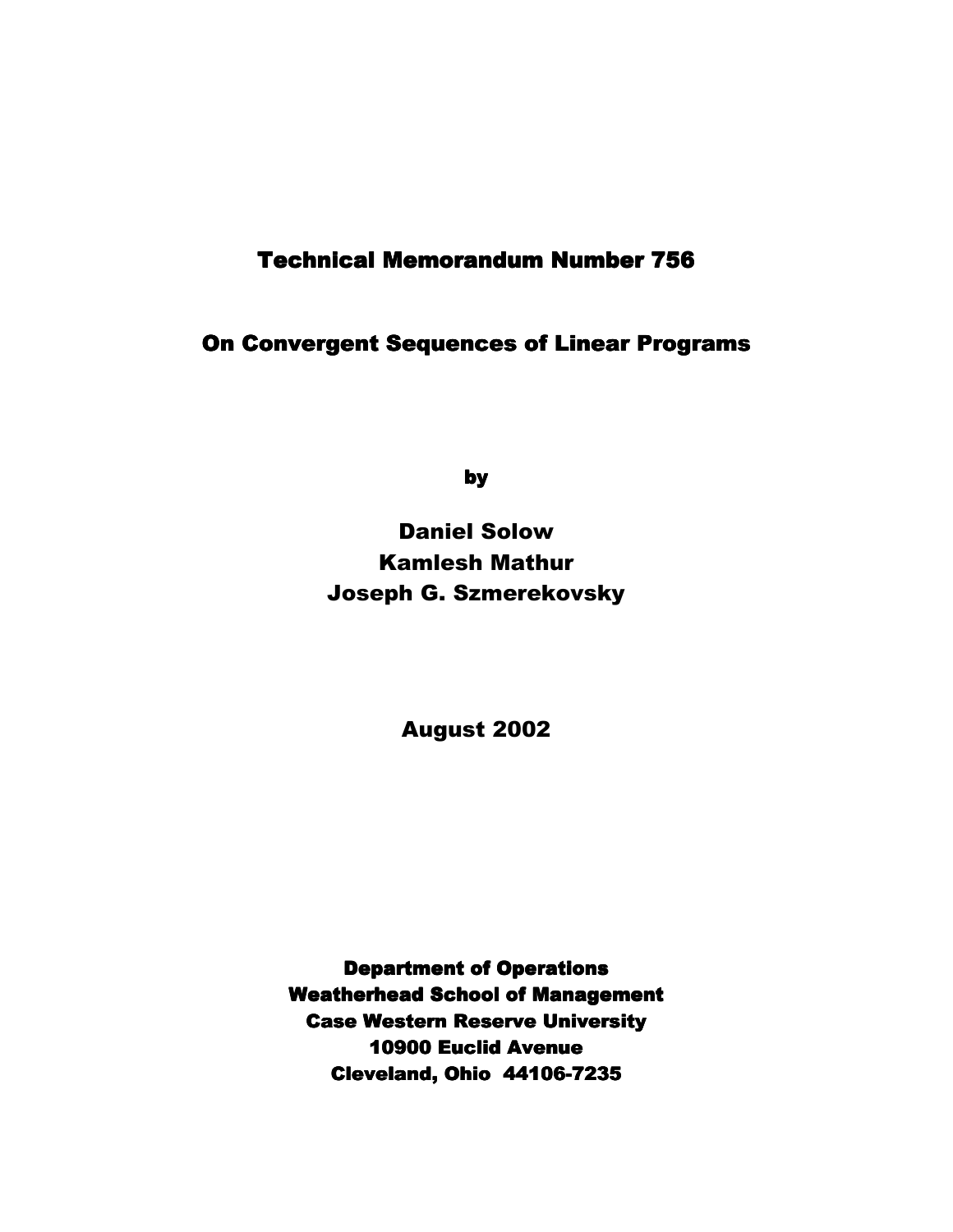# **Technical Memorandum Number 756**

**On Convergent Sequences of Linear Programs** 

by

# Daniel Solow Kamlesh Mathur Joseph G. Szmerekovsky

August 2002

**Department of Operations Weatherhead School of Management Case Western Reserve University** 10900 Euclid Avenue 10900 Euclid 0900 Avenue Cleveland, Ohio 44106-7235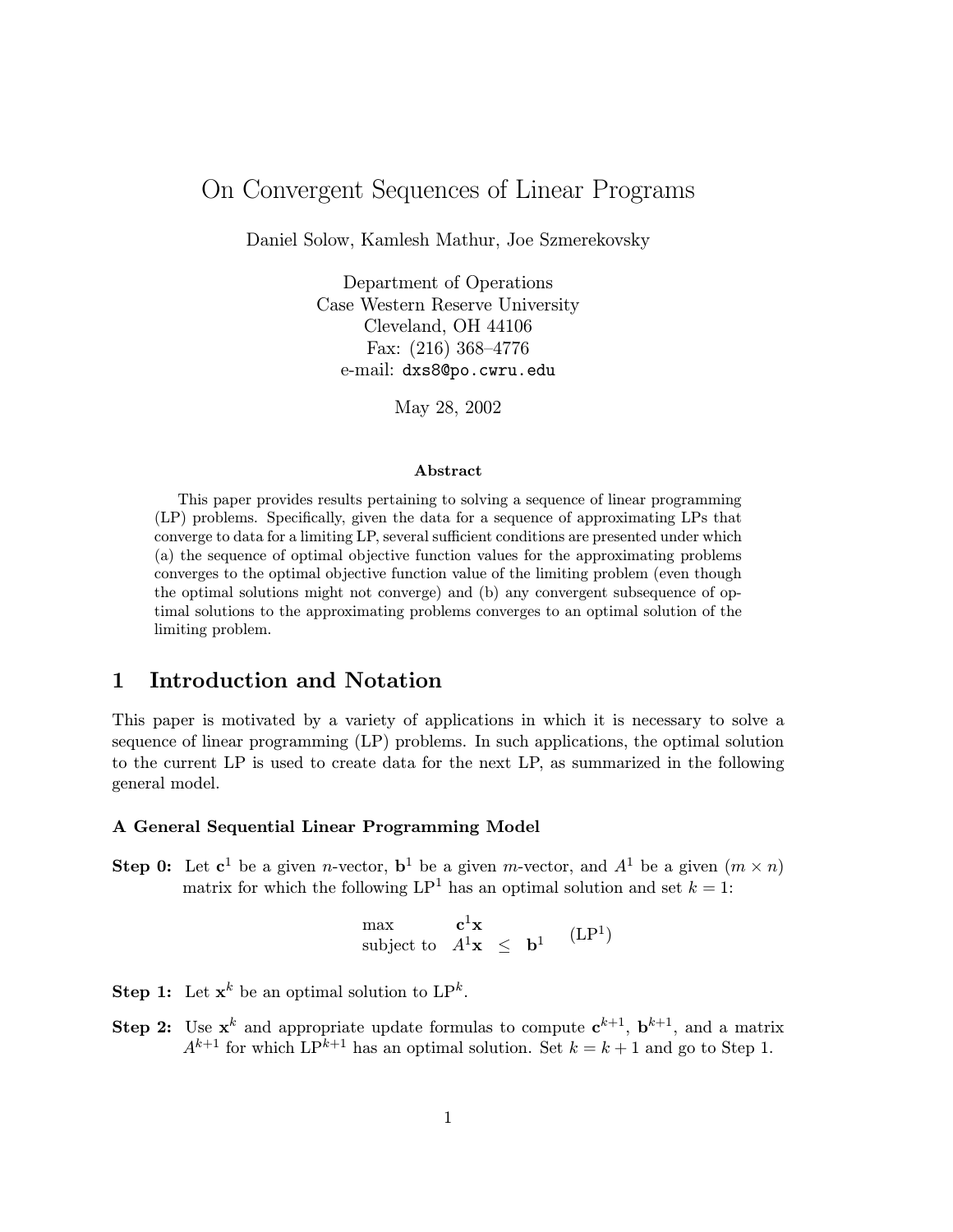# On Convergent Sequences of Linear Programs

Daniel Solow, Kamlesh Mathur, Joe Szmerekovsky

Department of Operations Case Western Reserve University Cleveland, OH 44106 Fax:  $(216)$  368–4776 e-mail: dxs8@po.cwru.edu

May 28, 2002

#### Abstract

This paper provides results pertaining to solving a sequence of linear programming (LP) problems. Specifically, given the data for a sequence of approximating LPs that converge to data for a limiting LP, several sufficient conditions are presented under which (a) the sequence of optimal objective function values for the approximating problems converges to the optimal objective function value of the limiting problem (even though the optimal solutions might not converge) and (b) any convergent subsequence of optimal solutions to the approximating problems converges to an optimal solution of the limiting problem.

## 1 Introduction and Notation

This paper is motivated by a variety of applications in which it is necessary to solve a sequence of linear programming (LP) problems. In such applications, the optimal solution to the current LP is used to create data for the next LP, as summarized in the following general model.

#### A General Sequential Linear Programming Model

**Step 0:** Let  $c^1$  be a given *n*-vector,  $b^1$  be a given *m*-vector, and  $A^1$  be a given  $(m \times n)$ matrix for which the following  $LP^1$  has an optimal solution and set  $k = 1$ :

$$
\begin{array}{ll}\n\text{max} & \mathbf{c}^1 \mathbf{x} \\
\text{subject to} & A^1 \mathbf{x} \leq \mathbf{b}^1\n\end{array} (LP^1)
$$

**Step 1:** Let  $\mathbf{x}^k$  be an optimal solution to  $\mathbf{LP}^k$ .

Step 2: Use  $x^k$  and appropriate update formulas to compute  $c^{k+1}$ ,  $b^{k+1}$ , and a matrix  $A^{k+1}$  for which  $\text{LP}^{k+1}$  has an optimal solution. Set  $k = k+1$  and go to Step 1.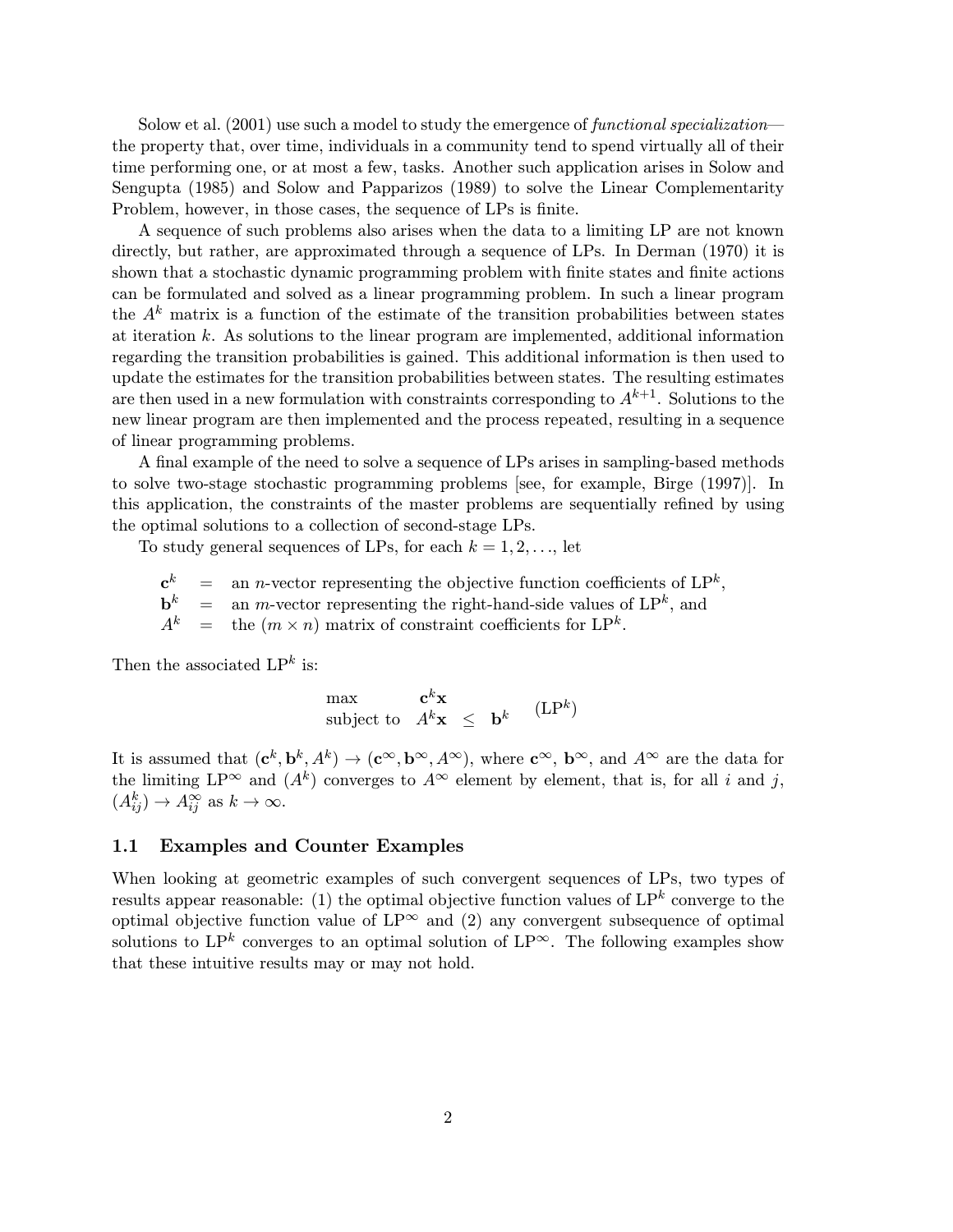Solow et al.  $(2001)$  use such a model to study the emergence of *functional specialization* the property that, over time, individuals in a community tend to spend virtually all of their time performing one, or at most a few, tasks. Another such application arises in Solow and Sengupta (1985) and Solow and Papparizos (1989) to solve the Linear Complementarity Problem, however, in those cases, the sequence of LPs is finite.

A sequence of such problems also arises when the data to a limiting LP are not known directly, but rather, are approximated through a sequence of LPs. In Derman (1970) it is shown that a stochastic dynamic programming problem with finite states and finite actions can be formulated and solved as a linear programming problem. In such a linear program the  $A<sup>k</sup>$  matrix is a function of the estimate of the transition probabilities between states at iteration k. As solutions to the linear program are implemented, additional information regarding the transition probabilities is gained. This additional information is then used to update the estimates for the transition probabilities between states. The resulting estimates are then used in a new formulation with constraints corresponding to  $A^{k+1}$ . Solutions to the new linear program are then implemented and the process repeated, resulting in a sequence of linear programming problems.

A final example of the need to solve a sequence of LPs arises in sampling-based methods to solve two-stage stochastic programming problems [see, for example, Birge (1997)]. In this application, the constraints of the master problems are sequentially refined by using the optimal solutions to a collection of second-stage LPs.

To study general sequences of LPs, for each  $k = 1, 2, \ldots$ , let

 $\mathbf{c}^k$  = an *n*-vector representing the objective function coefficients of LP<sup>k</sup>,  $\mathbf{b}^k$  = an *m*-vector representing the right-hand-side values of LP<sup>k</sup>, and  $A^k$  = the  $(m \times n)$  matrix of constraint coefficients for LP<sup>k</sup>.

Then the associated  $\mathsf{LP}^k$  is:

$$
\begin{array}{ll}\n\text{max} & \mathbf{c}^k \mathbf{x} \\
\text{subject to} & A^k \mathbf{x} \leq \mathbf{b}^k\n\end{array} \quad (\text{LP}^k)
$$

It is assumed that  $(c^k, b^k, A^k) \rightarrow (c^\infty, b^\infty, A^\infty)$ , where  $c^\infty$ ,  $b^\infty$ , and  $A^\infty$  are the data for the limiting  $LP^{\infty}$  and  $(A^k)$  converges to  $A^{\infty}$  element by element, that is, for all i and j,  $(A_{ij}^k) \rightarrow A_{ij}^{\infty}$  as  $k \rightarrow \infty$ .

#### 1.1 Examples and Counter Examples

When looking at geometric examples of such convergent sequences of LPs, two types of results appear reasonable: (1) the optimal objective function values of  $LP^k$  converge to the optimal objective function value of  $LP^{\infty}$  and (2) any convergent subsequence of optimal solutions to LP<sup>k</sup> converges to an optimal solution of LP<sup>∞</sup>. The following examples show that these intuitive results may or may not hold.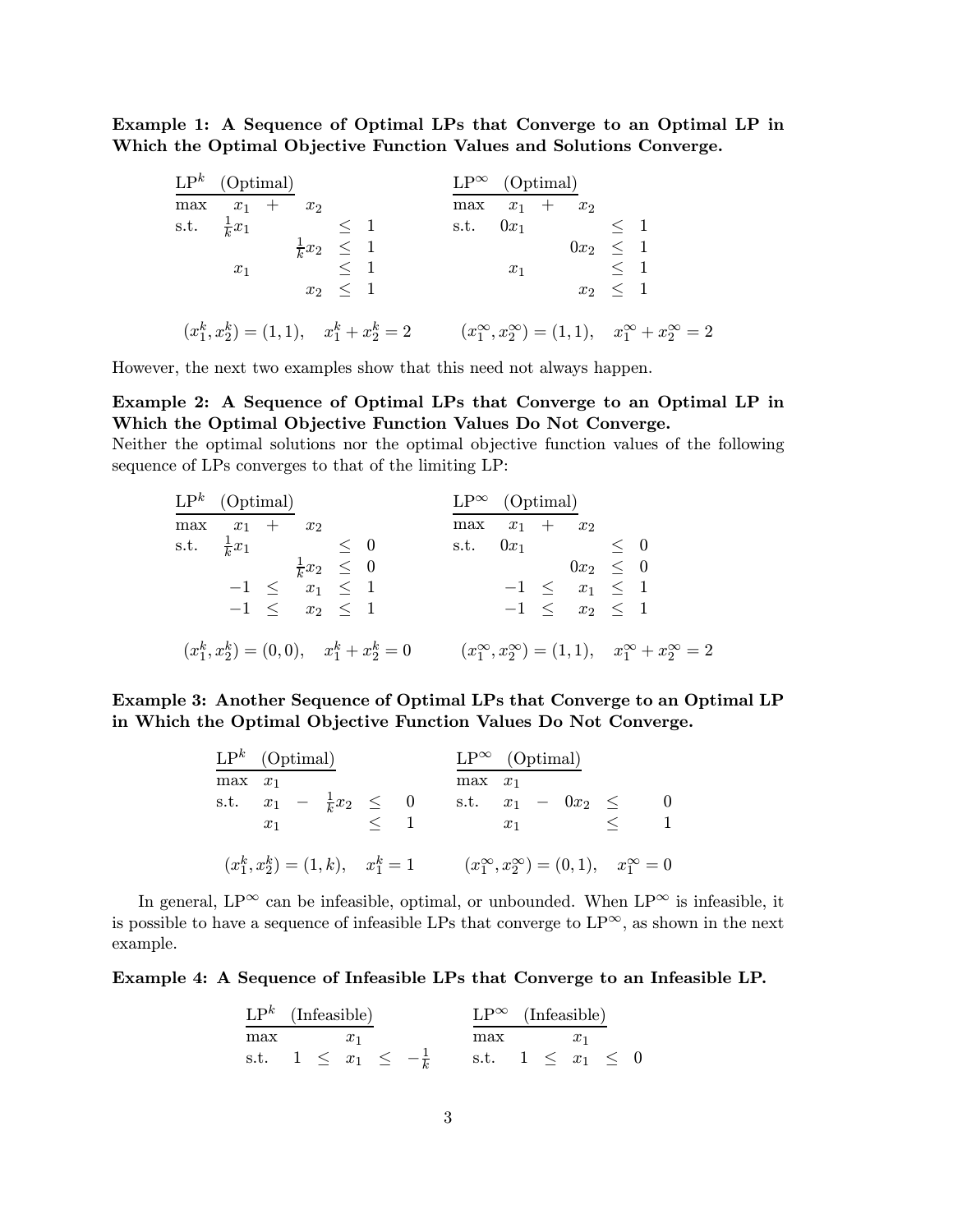Example 1: A Sequence of Optimal LPs that Converge to an Optimal LP in Which the Optimal Objective Function Values and Solutions Converge.

|     | $LP^k$ (Optimal)             |                         |              |                                                    | $LP^{\infty}$ (Optimal) |       |               |              |                                                                                |  |
|-----|------------------------------|-------------------------|--------------|----------------------------------------------------|-------------------------|-------|---------------|--------------|--------------------------------------------------------------------------------|--|
| max | $x_1 + x_2$                  |                         |              |                                                    | $\max x_1 + x_2$        |       |               |              |                                                                                |  |
|     | s.t. $\frac{1}{k}x_1 \leq 1$ |                         |              |                                                    | s.t. $0x_1 \leq 1$      |       |               |              |                                                                                |  |
|     |                              | $\frac{1}{k}x_2 \leq 1$ |              |                                                    |                         |       | $0x_2 \leq 1$ |              |                                                                                |  |
|     | $x_1$                        | $\leq 1$                |              |                                                    |                         | $x_1$ | $\leq 1$      |              |                                                                                |  |
|     |                              |                         | $x_2 \leq 1$ |                                                    |                         |       |               | $x_2 \leq 1$ |                                                                                |  |
|     |                              |                         |              | $(x_1^k, x_2^k) = (1, 1), \quad x_1^k + x_2^k = 2$ |                         |       |               |              | $(x_1^{\infty}, x_2^{\infty}) = (1, 1), \quad x_1^{\infty} + x_2^{\infty} = 2$ |  |

However, the next two examples show that this need not always happen.

Example 2: A Sequence of Optimal LPs that Converge to an Optimal LP in Which the Optimal Objective Function Values Do Not Converge.

Neither the optimal solutions nor the optimal objective function values of the following sequence of LPs converges to that of the limiting LP:

| $\mathrm{LP}^k \quad \text{(Optimal)}$ |                         |                                                   | $LP^{\infty}$ (Optimal) |                      |                                                                                |  |
|----------------------------------------|-------------------------|---------------------------------------------------|-------------------------|----------------------|--------------------------------------------------------------------------------|--|
| $\max \quad x_1 + x_2$                 |                         |                                                   | $\max x_1 + x_2$        |                      |                                                                                |  |
| s.t. $\frac{1}{k}x_1$ $\leq 0$         |                         |                                                   | s.t. $0x_1 \leq 0$      |                      |                                                                                |  |
|                                        | $\frac{1}{k}x_2 \leq 0$ |                                                   |                         | $0x_2 \leq 0$        |                                                                                |  |
|                                        | $-1 \le x_1 \le 1$      |                                                   |                         | $-1 \leq x_1 \leq 1$ |                                                                                |  |
|                                        | $-1 \le x_2 \le 1$      |                                                   |                         | $-1 \leq x_2 \leq 1$ |                                                                                |  |
|                                        |                         | $(x_1^k, x_2^k) = (0,0), \quad x_1^k + x_2^k = 0$ |                         |                      | $(x_1^{\infty}, x_2^{\infty}) = (1, 1), \quad x_1^{\infty} + x_2^{\infty} = 2$ |  |

Example 3: Another Sequence of Optimal LPs that Converge to an Optimal LP in Which the Optimal Objective Function Values Do Not Converge.

|           | $\mathbf{LP}^k$ (Optimal)                                           |  | $LP^{\infty}$ (Optimal) |  |                                |                                                                 |  |
|-----------|---------------------------------------------------------------------|--|-------------------------|--|--------------------------------|-----------------------------------------------------------------|--|
| $max x_1$ | s.t. $x_1 - \frac{1}{k}x_2 \leq 0$<br>$x_1 \qquad \qquad < \quad 1$ |  | $max x_1$               |  | s.t. $x_1 - 0x_2 \le$<br>$x_1$ |                                                                 |  |
|           | $(x_1^k, x_2^k) = (1, k), \quad x_1^k = 1$                          |  |                         |  |                                | $(x_1^{\infty}, x_2^{\infty}) = (0, 1), \quad x_1^{\infty} = 0$ |  |

In general, LP<sup>∞</sup> can be infeasible, optimal, or unbounded. When LP<sup>∞</sup> is infeasible, it is possible to have a sequence of infeasible LPs that converge to  $LP^{\infty}$ , as shown in the next example.

#### Example 4: A Sequence of Infeasible LPs that Converge to an Infeasible LP.

| $LP^k$ (Infeasible) |  |       |  | $LP^{\infty}$ (Infeasible)                                   |  |       |  |
|---------------------|--|-------|--|--------------------------------------------------------------|--|-------|--|
| max                 |  | $x_1$ |  | max                                                          |  | $x_1$ |  |
|                     |  |       |  | s.t. $1 \leq x_1 \leq -\frac{1}{k}$ s.t. $1 \leq x_1 \leq 0$ |  |       |  |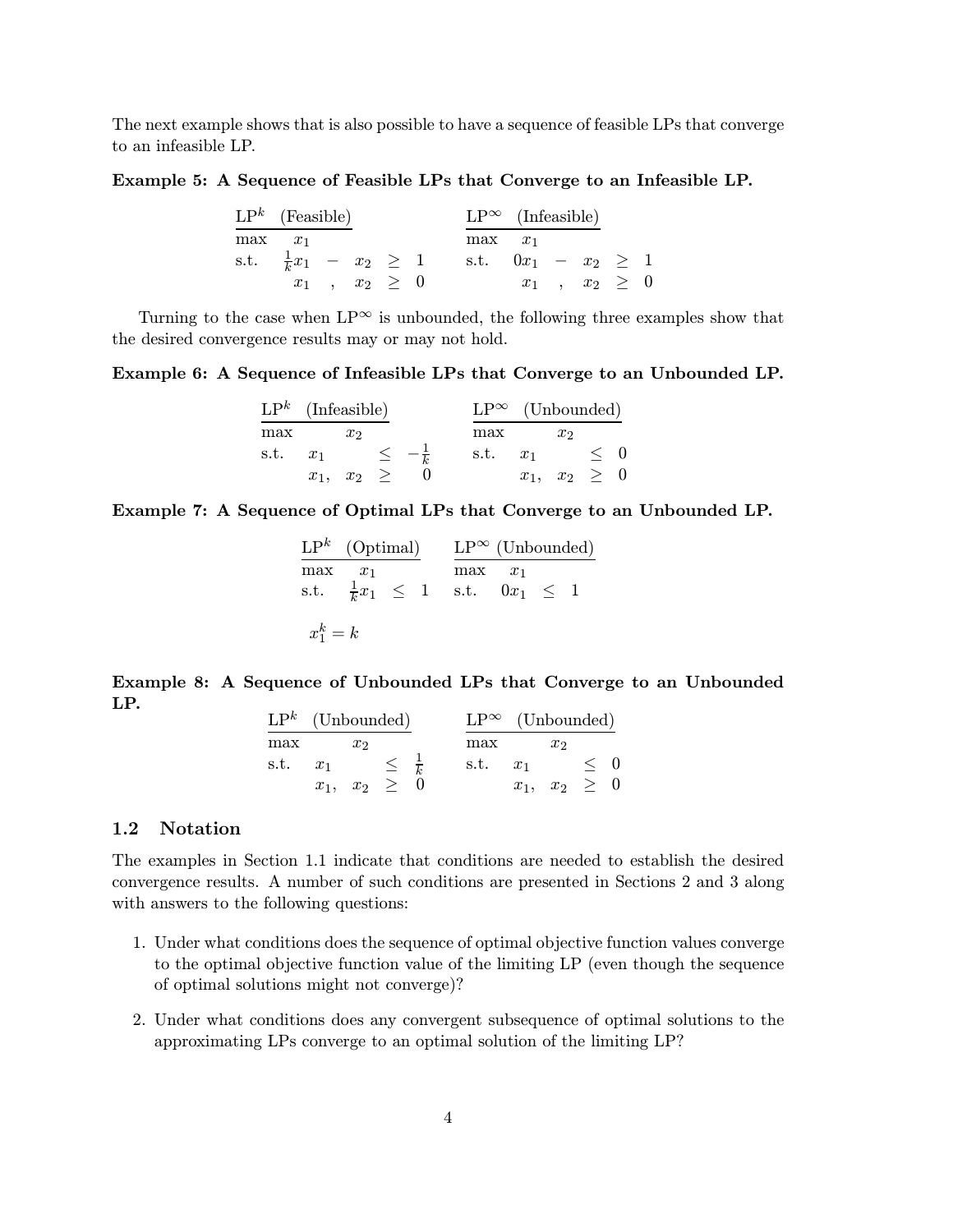The next example shows that is also possible to have a sequence of feasible LPs that converge to an infeasible LP.

Example 5: A Sequence of Feasible LPs that Converge to an Infeasible LP.

|             | $\mathbf{LP}^k$ (Feasible) |                      |  | $LP^{\infty}$ (Infeasible)                                |                      |  |  |
|-------------|----------------------------|----------------------|--|-----------------------------------------------------------|----------------------|--|--|
| $max \ x_1$ |                            |                      |  | $max \quad x_1$                                           |                      |  |  |
|             |                            |                      |  | s.t. $\frac{1}{k}x_1 - x_2 \ge 1$ s.t. $0x_1 - x_2 \ge 1$ |                      |  |  |
|             |                            | $x_1$ , $x_2 \geq 0$ |  |                                                           | $x_1$ , $x_2 \geq 0$ |  |  |

Turning to the case when  $LP^{\infty}$  is unbounded, the following three examples show that the desired convergence results may or may not hold.

Example 6: A Sequence of Infeasible LPs that Converge to an Unbounded LP.

| $LP^k$ (Infeasible) |       |                              | $LP^{\infty}$ (Unbounded) |                   |  |
|---------------------|-------|------------------------------|---------------------------|-------------------|--|
| max                 | $x_2$ |                              | max                       | $x_2$             |  |
|                     |       | s.t. $x_1 \leq -\frac{1}{k}$ | s.t. $x_1 \leq 0$         |                   |  |
|                     |       | $x_1, x_2 \geq 0$            |                           | $x_1, x_2 \geq 0$ |  |

#### Example 7: A Sequence of Optimal LPs that Converge to an Unbounded LP.

|             | $\mathbf{LP}^k$ (Optimal) |  | $LP^{\infty}$ (Unbounded)                                          |  |  |
|-------------|---------------------------|--|--------------------------------------------------------------------|--|--|
| max         | $x_1$                     |  | $max \quad x_1$<br>s.t. $\frac{1}{k}x_1 \leq 1$ s.t. $0x_1 \leq 1$ |  |  |
| $x_1^k = k$ |                           |  |                                                                    |  |  |

Example 8: A Sequence of Unbounded LPs that Converge to an Unbounded LP.  $\mathbf{L} \mathbf{D}^k$  (U i i)  $\mathbf{L} \mathbf{D} \infty$  (U i i)

| $LP^{\kappa}$ (Unbounded)   |                   |       |  | $LP^{\infty}$ (Unbounded) |                   |       |  |
|-----------------------------|-------------------|-------|--|---------------------------|-------------------|-------|--|
| max                         |                   | $x_2$ |  | max                       |                   | $x_2$ |  |
| s.t. $x_1 \leq \frac{1}{k}$ |                   |       |  | s.t. $x_1 \leq 0$         |                   |       |  |
|                             | $x_1, x_2 \geq 0$ |       |  |                           | $x_1, x_2 \geq 0$ |       |  |

#### 1.2 Notation

The examples in Section 1.1 indicate that conditions are needed to establish the desired convergence results. A number of such conditions are presented in Sections 2 and 3 along with answers to the following questions:

- 1. Under what conditions does the sequence of optimal objective function values converge to the optimal objective function value of the limiting LP (even though the sequence of optimal solutions might not converge)?
- 2. Under what conditions does any convergent subsequence of optimal solutions to the approximating LPs converge to an optimal solution of the limiting LP?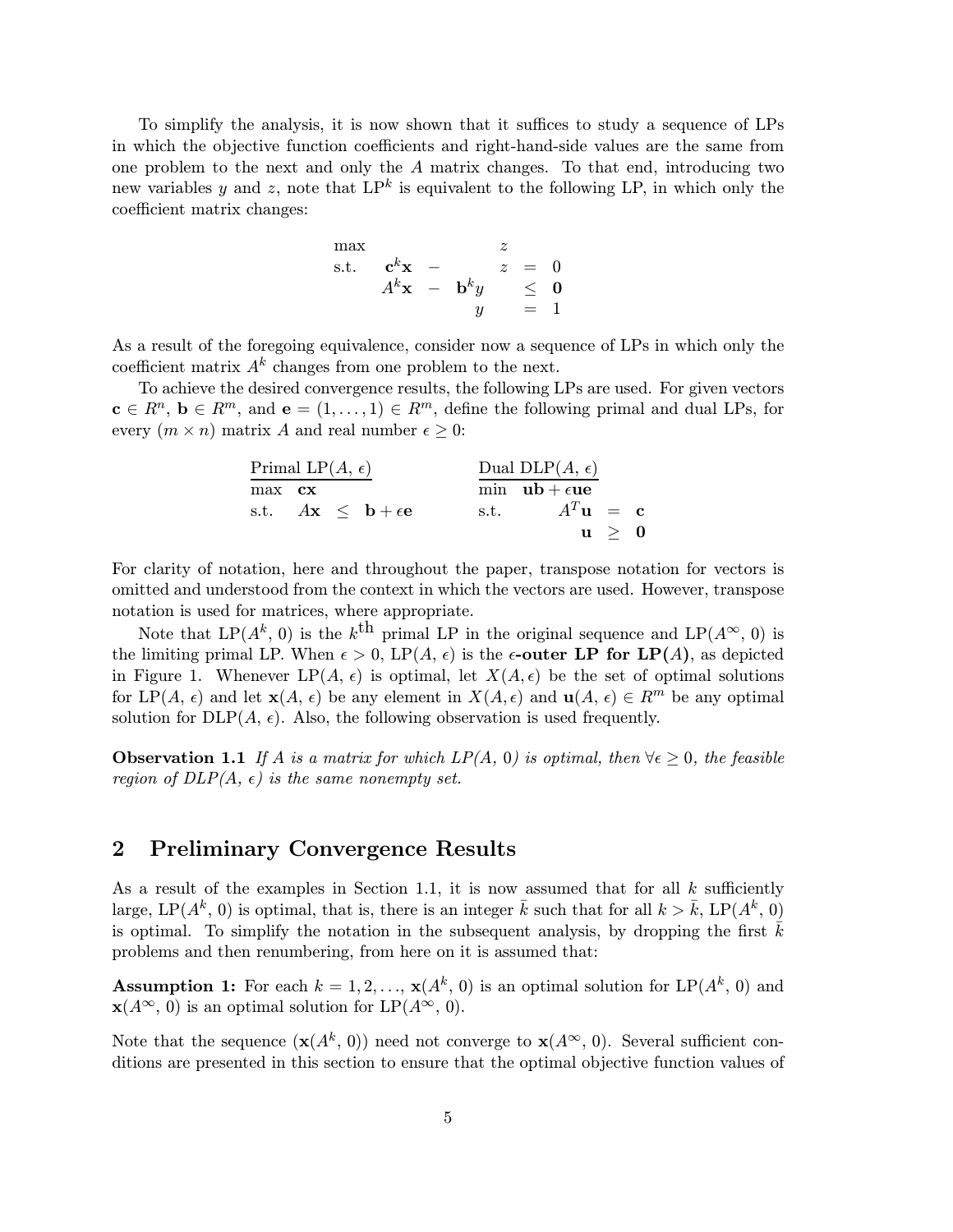To simplify the analysis, it is now shown that it suffices to study a sequence of LPs in which the objective function coefficients and right-hand-side values are the same from one problem to the next and only the A matrix changes. To that end, introducing two new variables y and z, note that  $LP^k$  is equivalent to the following LP, in which only the coefficient matrix changes:

$$
\begin{array}{cccc}\n\max & z \\
\text{s.t.} & \mathbf{c}^k \mathbf{x} & - & z & = & 0 \\
A^k \mathbf{x} & - & \mathbf{b}^k y & \leq & \mathbf{0} \\
y & = & 1\n\end{array}
$$

As a result of the foregoing equivalence, consider now a sequence of LPs in which only the coefficient matrix  $A^k$  changes from one problem to the next.

To achieve the desired convergence results, the following LPs are used. For given vectors  $\mathbf{c} \in \mathbb{R}^n$ ,  $\mathbf{b} \in \mathbb{R}^m$ , and  $\mathbf{e} = (1, \ldots, 1) \in \mathbb{R}^m$ , define the following primal and dual LPs, for every  $(m \times n)$  matrix A and real number  $\epsilon > 0$ :

|               | Primal LP $(A, \epsilon)$                                | Dual DLP $(A, \epsilon)$           |  |
|---------------|----------------------------------------------------------|------------------------------------|--|
| max <b>cx</b> |                                                          | min $ub + \epsilon ue$             |  |
|               | s.t. $A\mathbf{x} \leq \mathbf{b} + \epsilon \mathbf{e}$ | s.t. $A^T \mathbf{u} = \mathbf{c}$ |  |
|               |                                                          | $\mathbf{u} > 0$                   |  |

For clarity of notation, here and throughout the paper, transpose notation for vectors is omitted and understood from the context in which the vectors are used. However, transpose notation is used for matrices, where appropriate.

Note that LP( $A^k$ , 0) is the k<sup>th</sup> primal LP in the original sequence and LP( $A^{\infty}$ , 0) is the limiting primal LP. When  $\epsilon > 0$ , LP(A,  $\epsilon$ ) is the  $\epsilon$ -outer LP for LP(A), as depicted in Figure 1. Whenever  $LP(A, \epsilon)$  is optimal, let  $X(A, \epsilon)$  be the set of optimal solutions for  $LP(A, \epsilon)$  and let  $\mathbf{x}(A, \epsilon)$  be any element in  $X(A, \epsilon)$  and  $\mathbf{u}(A, \epsilon) \in \mathbb{R}^m$  be any optimal solution for  $DLP(A, \epsilon)$ . Also, the following observation is used frequently.

**Observation 1.1** If A is a matrix for which  $LP(A, 0)$  is optimal, then  $\forall \epsilon \geq 0$ , the feasible region of  $DLP(A, \epsilon)$  is the same nonempty set.

### 2 Preliminary Convergence Results

As a result of the examples in Section 1.1, it is now assumed that for all  $k$  sufficiently large, LP( $A^k$ , 0) is optimal, that is, there is an integer  $\bar{k}$  such that for all  $k > \bar{k}$ , LP( $A^k$ , 0) is optimal. To simplify the notation in the subsequent analysis, by dropping the first  $\tilde{k}$ problems and then renumbering, from here on it is assumed that:

**Assumption 1:** For each  $k = 1, 2, ..., \mathbf{x}(A^k, 0)$  is an optimal solution for  $LP(A^k, 0)$  and  $\mathbf{x}(A^{\infty}, 0)$  is an optimal solution for  $\text{LP}(A^{\infty}, 0)$ .

Note that the sequence  $(\mathbf{x}(A^k, 0))$  need not converge to  $\mathbf{x}(A^{\infty}, 0)$ . Several sufficient conditions are presented in this section to ensure that the optimal objective function values of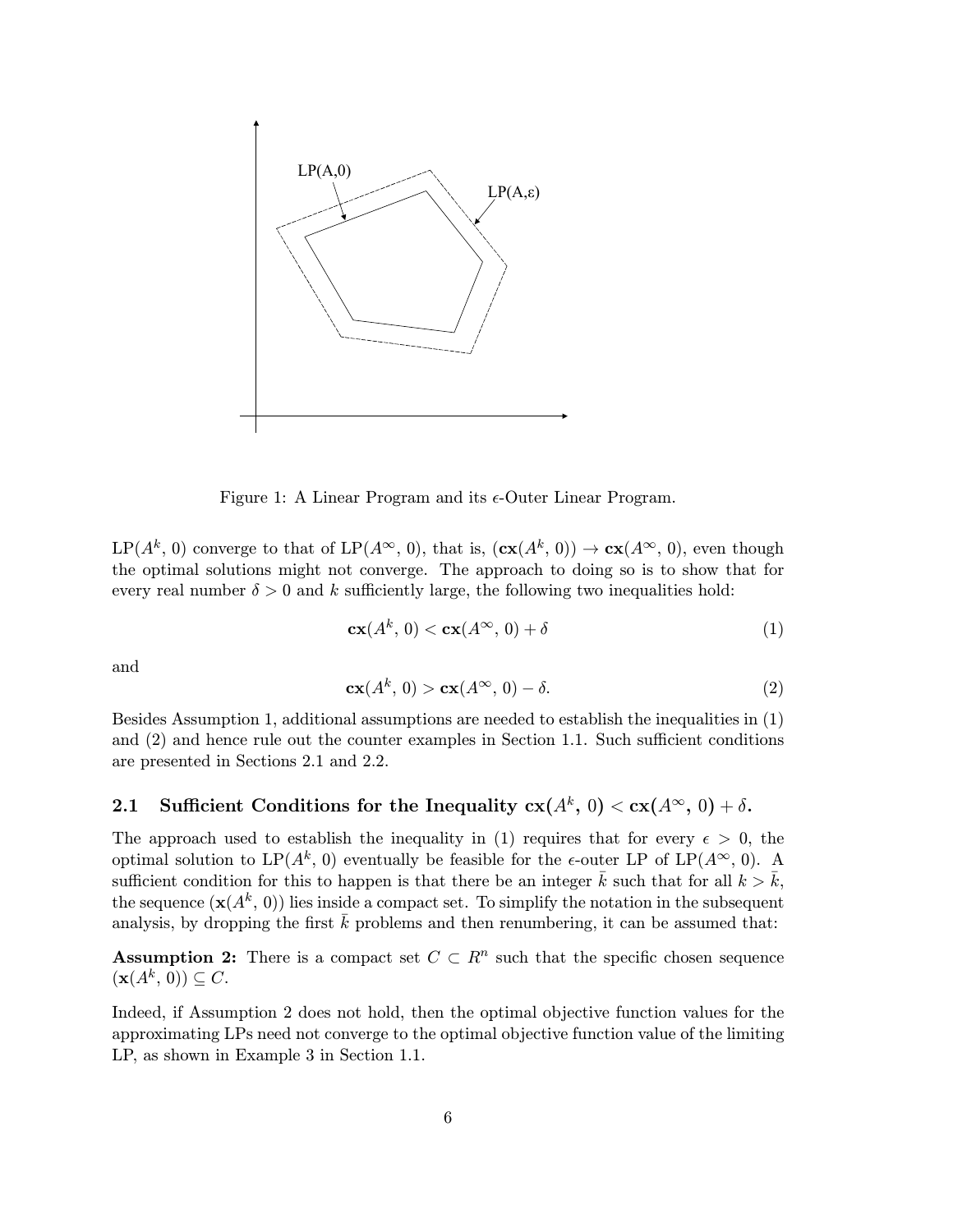

Figure 1: A Linear Program and its  $\epsilon$ -Outer Linear Program.

 $LP(A^k, 0)$  converge to that of  $LP(A^{\infty}, 0)$ , that is,  $(c\mathbf{x}(A^k, 0)) \to c\mathbf{x}(A^{\infty}, 0)$ , even though the optimal solutions might not converge. The approach to doing so is to show that for every real number  $\delta > 0$  and k sufficiently large, the following two inequalities hold:

$$
\mathbf{cx}(A^k, 0) < \mathbf{cx}(A^\infty, 0) + \delta \tag{1}
$$

and

$$
cx(A^k, 0) > cx(A^{\infty}, 0) - \delta.
$$
 (2)

Besides Assumption 1, additional assumptions are needed to establish the inequalities in (1) and (2) and hence rule out the counter examples in Section 1.1. Such sufficient conditions are presented in Sections 2.1 and 2.2.

## 2.1 Sufficient Conditions for the Inequality  $c\mathbf{x}(A^k, 0) < c\mathbf{x}(A^{\infty}, 0) + \delta$ .

The approach used to establish the inequality in (1) requires that for every  $\epsilon > 0$ , the optimal solution to LP( $A^k$ , 0) eventually be feasible for the  $\epsilon$ -outer LP of LP( $A^{\infty}$ , 0). A sufficient condition for this to happen is that there be an integer  $\bar{k}$  such that for all  $k > \bar{k}$ , the sequence  $(\mathbf{x}(A^k, 0))$  lies inside a compact set. To simplify the notation in the subsequent analysis, by dropping the first  $\bar{k}$  problems and then renumbering, it can be assumed that:

**Assumption 2:** There is a compact set  $C \subset \mathbb{R}^n$  such that the specific chosen sequence  $(\mathbf{x}(A^k, 0)) \subseteq C.$ 

Indeed, if Assumption 2 does not hold, then the optimal objective function values for the approximating LPs need not converge to the optimal objective function value of the limiting LP, as shown in Example 3 in Section 1.1.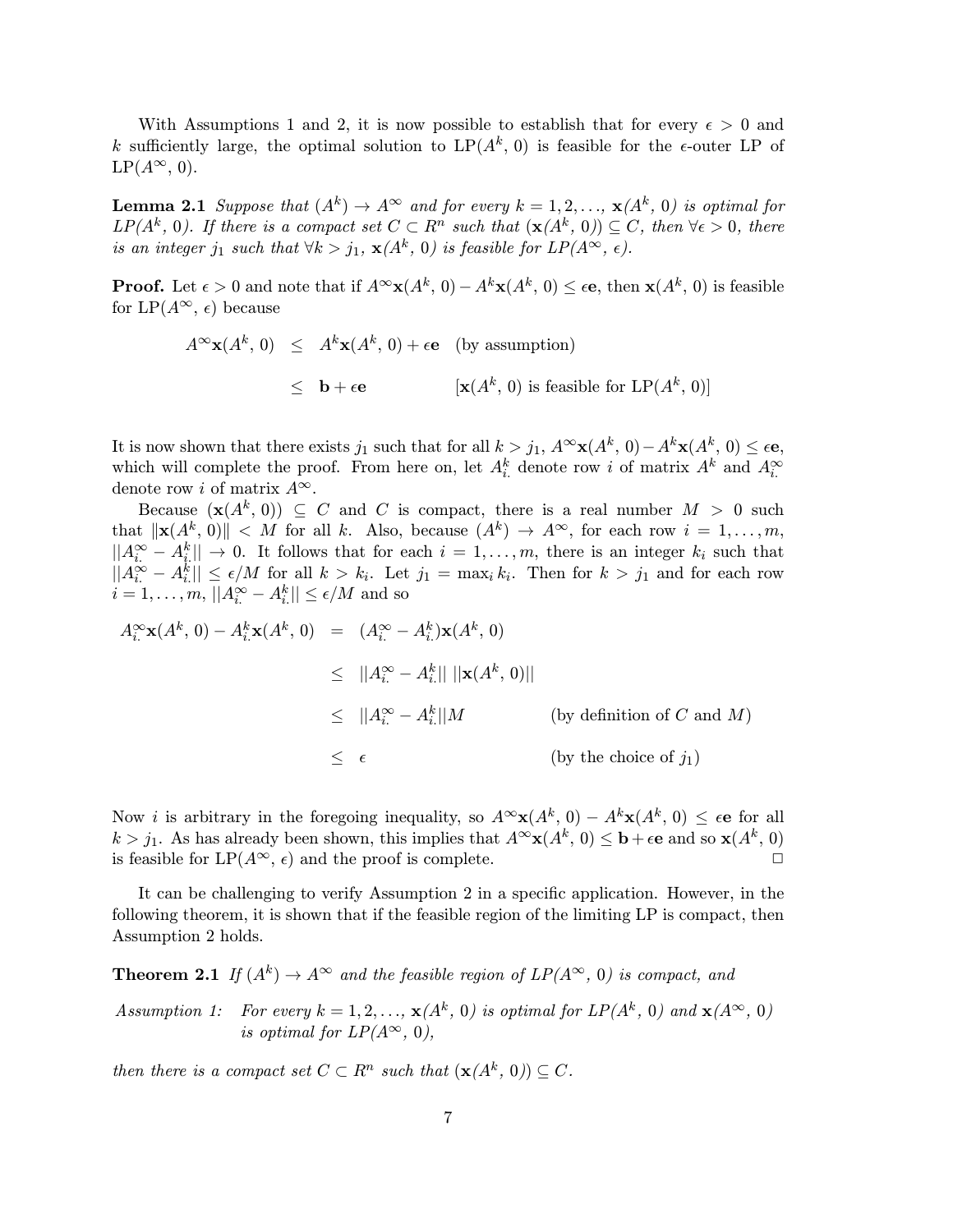With Assumptions 1 and 2, it is now possible to establish that for every  $\epsilon > 0$  and k sufficiently large, the optimal solution to  $LP(A^k, 0)$  is feasible for the  $\epsilon$ -outer LP of  $LP(A^{\infty}, 0)$ .

**Lemma 2.1** Suppose that  $(A^k) \to A^\infty$  and for every  $k = 1, 2, \ldots, x(A^k, 0)$  is optimal for LP( $A^k$ , 0). If there is a compact set  $C \subset R^n$  such that  $(\mathbf{x}(A^k, 0)) \subseteq C$ , then  $\forall \epsilon > 0$ , there is an integer j<sub>1</sub> such that  $\forall k > j_1$ ,  $\mathbf{x}(A^k, 0)$  is feasible for  $LP(A^{\infty}, \epsilon)$ .

**Proof.** Let  $\epsilon > 0$  and note that if  $A^{\infty} \mathbf{x}(A^k, 0) - A^k \mathbf{x}(A^k, 0) \leq \epsilon \mathbf{e}$ , then  $\mathbf{x}(A^k, 0)$  is feasible for LP( $A^{\infty}$ ,  $\epsilon$ ) because

$$
A^{\infty}
$$
**x** $(A^k, 0) \leq A^k$ **x** $(A^k, 0) + \epsilon$ **e** (by assumption)  
 $\leq$ **b** $+\epsilon$ **e** [**x** $(A^k, 0)$  is feasible for LP $(A^k, 0)$ ]

It is now shown that there exists  $j_1$  such that for all  $k>j_1$ ,  $A^{\infty}x(A^k, 0)-A^kx(A^k, 0) \leq \epsilon e$ , which will complete the proof. From here on, let  $A_i^k$  denote row i of matrix  $A^k$  and  $A_i^{\infty}$ denote row *i* of matrix  $A^{\infty}$ .

Because  $(\mathbf{x}(A^k, 0)) \subseteq C$  and C is compact, there is a real number  $M > 0$  such that  $\|\mathbf{x}(A^k, 0)\| < M$  for all k. Also, because  $(A^k) \to A^\infty$ , for each row  $i = 1, \ldots, m$ ,  $||A_i^{\infty} - A_i^k|| \to 0$ . It follows that for each  $i = 1, \ldots, m$ , there is an integer  $k_i$  such that  $||A_i^{\infty} - A_i^k|| \leq \epsilon/M$  for all  $k > k_i$ . Let  $j_1 = \max_i k_i$ . Then for  $k > j_1$  and for each row  $i = 1, \ldots, m, ||A_i^{\infty} - A_i^k|| \leq \epsilon/M$  and so

$$
A_i^{\infty} \mathbf{x}(A^k, 0) - A_i^k \mathbf{x}(A^k, 0) = (A_i^{\infty} - A_i^k) \mathbf{x}(A^k, 0)
$$
  
\n
$$
\leq ||A_i^{\infty} - A_i^k|| ||\mathbf{x}(A^k, 0)||
$$
  
\n
$$
\leq ||A_i^{\infty} - A_i^k|| M \qquad \text{(by definition of } C \text{ and } M)
$$
  
\n
$$
\leq \epsilon \qquad \qquad \text{(by the choice of } j_1)
$$

Now *i* is arbitrary in the foregoing inequality, so  $A^{\infty}x(A^k, 0) - A^kx(A^k, 0) \leq \epsilon e$  for all  $k > j_1$ . As has already been shown, this implies that  $A^{\infty}$ **x**( $A^k$ , 0) ≤ **b** +  $\epsilon$ **e** and so **x**( $A^k$ , 0) is feasible for LP( $A^{\infty}$ ,  $\epsilon$ ) and the proof is complete is feasible for  $LP(A^{\infty}, \epsilon)$  and the proof is complete.

It can be challenging to verify Assumption 2 in a specific application. However, in the following theorem, it is shown that if the feasible region of the limiting LP is compact, then Assumption 2 holds.

**Theorem 2.1** If  $(A^k) \to A^\infty$  and the feasible region of  $LP(A^\infty, 0)$  is compact, and

Assumption 1: For every  $k = 1, 2, ..., \mathbf{x}(A^k, 0)$  is optimal for  $LP(A^k, 0)$  and  $\mathbf{x}(A^{\infty}, 0)$ is optimal for  $LP(A^{\infty}, 0)$ ,

then there is a compact set  $C \subset \mathbb{R}^n$  such that  $(\mathbf{x}(A^k, 0)) \subseteq C$ .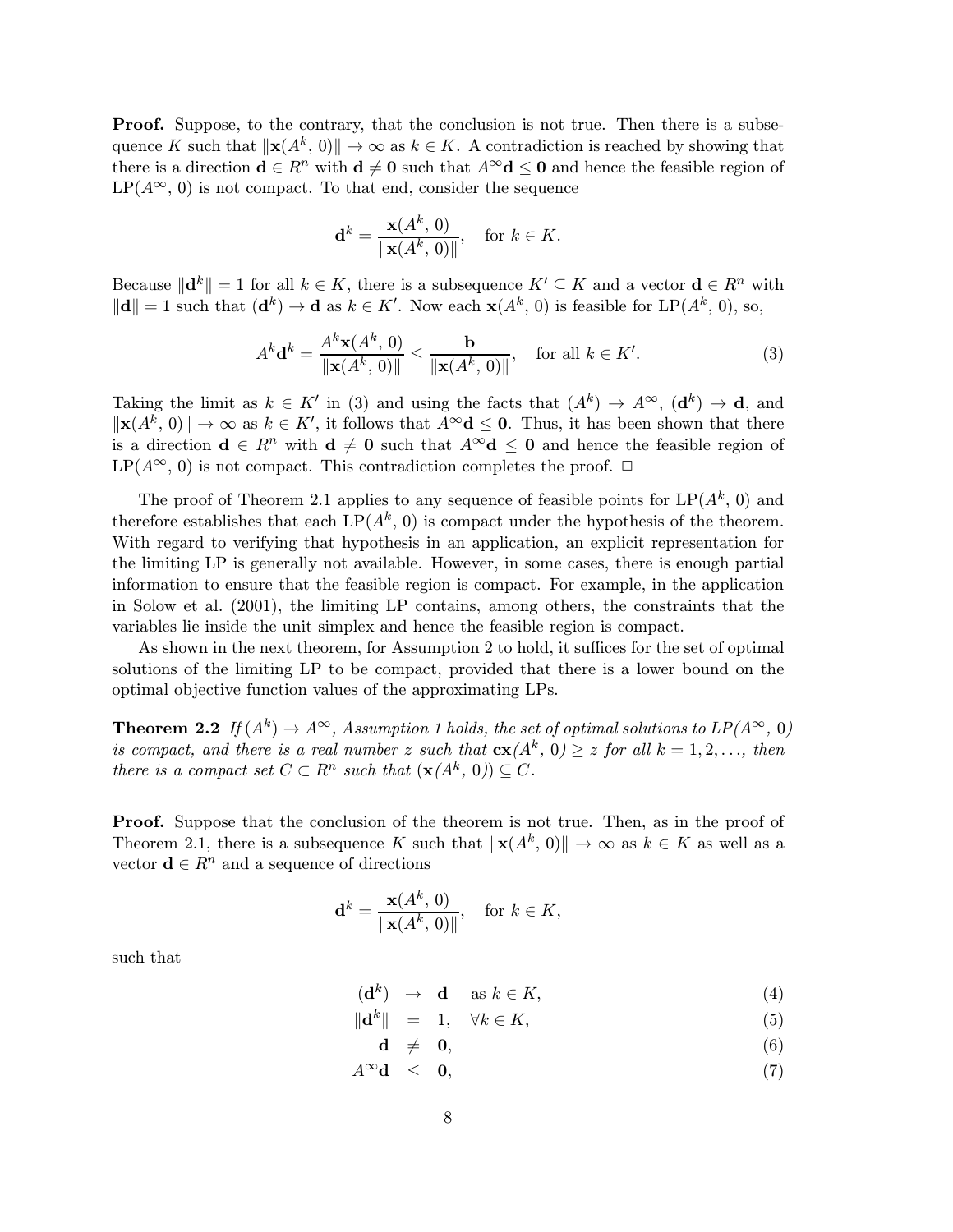Proof. Suppose, to the contrary, that the conclusion is not true. Then there is a subsequence K such that  $\|\mathbf{x}(A^k, 0)\| \to \infty$  as  $k \in K$ . A contradiction is reached by showing that there is a direction  $\mathbf{d} \in \mathbb{R}^n$  with  $\mathbf{d} \neq \mathbf{0}$  such that  $A^{\infty} \mathbf{d} \leq \mathbf{0}$  and hence the feasible region of  $LP(A^{\infty}, 0)$  is not compact. To that end, consider the sequence

$$
\mathbf{d}^k = \frac{\mathbf{x}(A^k, 0)}{\|\mathbf{x}(A^k, 0)\|}, \quad \text{for } k \in K.
$$

Because  $\|\mathbf{d}^k\| = 1$  for all  $k \in K$ , there is a subsequence  $K' \subseteq K$  and a vector  $\mathbf{d} \in R^n$  with  $\|\mathbf{d}\| = 1$  such that  $(\mathbf{d}^k) \to \mathbf{d}$  as  $k \in K'$ . Now each  $\mathbf{x}(A^k, 0)$  is feasible for  $\text{LP}(A^k, 0)$ , so,

$$
A^{k} \mathbf{d}^{k} = \frac{A^{k} \mathbf{x}(A^{k}, 0)}{\|\mathbf{x}(A^{k}, 0)\|} \le \frac{\mathbf{b}}{\|\mathbf{x}(A^{k}, 0)\|}, \quad \text{for all } k \in K'. \tag{3}
$$

Taking the limit as  $k \in K'$  in (3) and using the facts that  $(A^k) \to A^{\infty}$ ,  $(\mathbf{d}^k) \to \mathbf{d}$ , and  $\|\mathbf{x}(A^k, 0)\| \to \infty$  as  $k \in K'$ , it follows that  $A^\infty \mathbf{d} \leq \mathbf{0}$ . Thus, it has been shown that there is a direction  $\mathbf{d} \in \mathbb{R}^n$  with  $\mathbf{d} \neq \mathbf{0}$  such that  $A^{\infty} \mathbf{d} \leq \mathbf{0}$  and hence the feasible region of LP( $A^{\infty}$ , 0) is not compact. This contradiction completes the proof.  $\Box$ 

The proof of Theorem 2.1 applies to any sequence of feasible points for  $LP(A^k, 0)$  and therefore establishes that each  $LP(A^k, 0)$  is compact under the hypothesis of the theorem. With regard to verifying that hypothesis in an application, an explicit representation for the limiting LP is generally not available. However, in some cases, there is enough partial information to ensure that the feasible region is compact. For example, in the application in Solow et al. (2001), the limiting LP contains, among others, the constraints that the variables lie inside the unit simplex and hence the feasible region is compact.

As shown in the next theorem, for Assumption 2 to hold, it suffices for the set of optimal solutions of the limiting LP to be compact, provided that there is a lower bound on the optimal objective function values of the approximating LPs.

**Theorem 2.2** If  $(A^k) \to A^\infty$ , Assumption 1 holds, the set of optimal solutions to  $LP(A^\infty, 0)$ is compact, and there is a real number z such that  $c\mathbf{x}(A^k, 0) \geq z$  for all  $k = 1, 2, \ldots$ , then there is a compact set  $C \subset \mathbb{R}^n$  such that  $(\mathbf{x}(A^k, 0)) \subseteq C$ .

Proof. Suppose that the conclusion of the theorem is not true. Then, as in the proof of Theorem 2.1, there is a subsequence K such that  $\|\mathbf{x}(A^k, 0)\| \to \infty$  as  $k \in K$  as well as a vector  $\mathbf{d} \in \mathbb{R}^n$  and a sequence of directions

$$
\mathbf{d}^k = \frac{\mathbf{x}(A^k, 0)}{\|\mathbf{x}(A^k, 0)\|}, \quad \text{for } k \in K,
$$

such that

$$
(\mathbf{d}^k) \rightarrow \mathbf{d} \quad \text{as } k \in K,
$$
 (4)

$$
\|\mathbf{d}^k\| = 1, \quad \forall k \in K,\tag{5}
$$

$$
\mathbf{d} \neq \mathbf{0}, \tag{6}
$$

 $A^{\infty} \mathbf{d} \leq \mathbf{0},$  (7)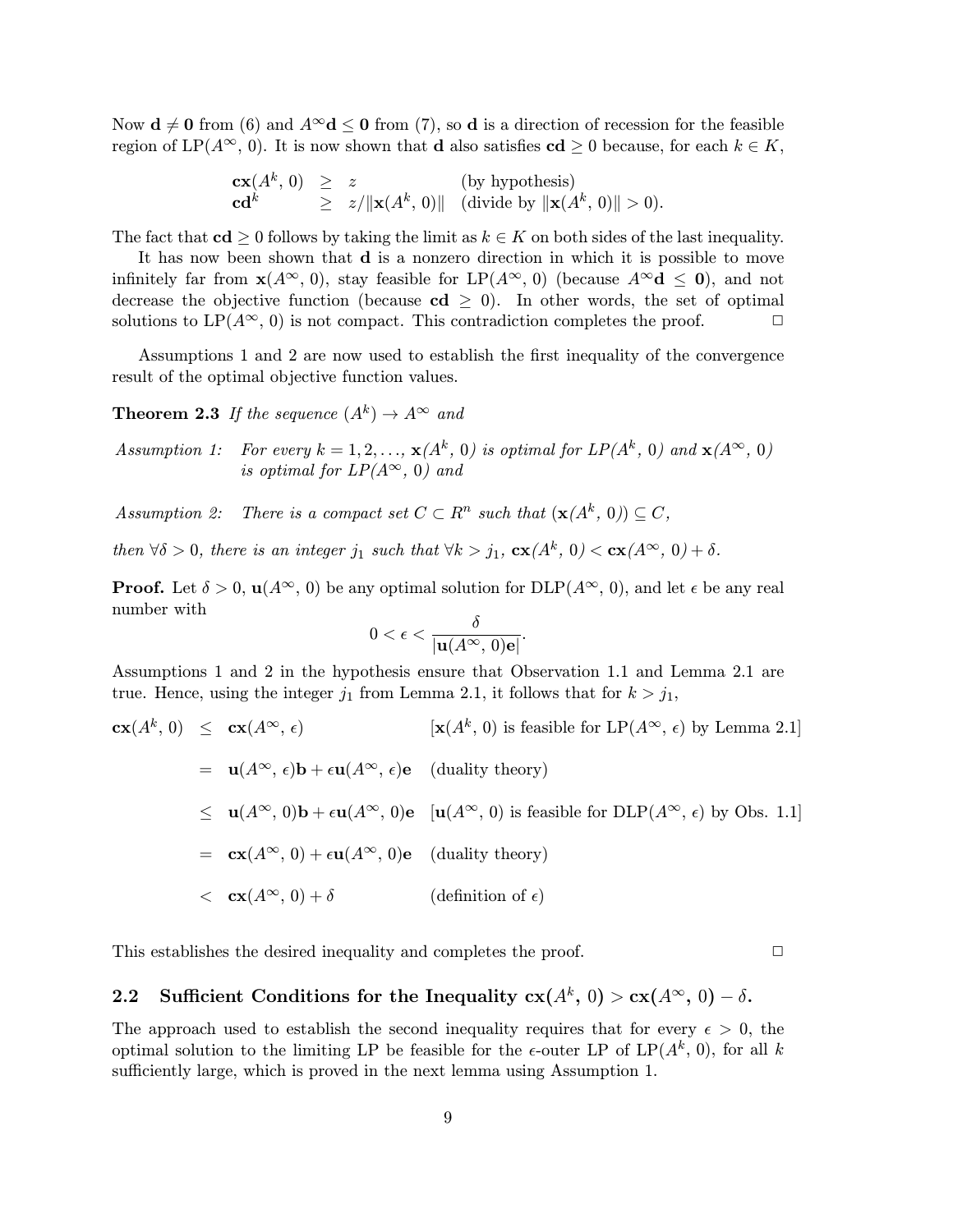Now  $\mathbf{d} \neq \mathbf{0}$  from (6) and  $A^{\infty} \mathbf{d} \leq \mathbf{0}$  from (7), so d is a direction of recession for the feasible region of LP( $A^{\infty}$ , 0). It is now shown that **d** also satisfies **cd**  $\geq 0$  because, for each  $k \in K$ ,

$$
\begin{array}{lcl}\n\mathbf{cx}(A^k, 0) & \geq & z & \text{(by hypothesis)} \\
\mathbf{cd}^k & \geq & z/\|\mathbf{x}(A^k, 0)\| & \text{(divide by } \|\mathbf{x}(A^k, 0)\| > 0).\n\end{array}
$$

The fact that  $cd \geq 0$  follows by taking the limit as  $k \in K$  on both sides of the last inequality.

It has now been shown that d is a nonzero direction in which it is possible to move infinitely far from  $\mathbf{x}(A^{\infty}, 0)$ , stay feasible for LP( $A^{\infty}$ , 0) (because  $A^{\infty} \mathbf{d} \leq 0$ ), and not decrease the objective function (because  $cd \ge 0$ ). In other words, the set of optimal solutions to LP( $A^{\infty}$  0) is not compact. This contradiction completes the proof solutions to  $LP(A^{\infty}, 0)$  is not compact. This contradiction completes the proof.

Assumptions 1 and 2 are now used to establish the first inequality of the convergence result of the optimal objective function values.

**Theorem 2.3** If the sequence  $(A^k) \rightarrow A^{\infty}$  and

Assumption 1: For every  $k = 1, 2, ..., \mathbf{x}(A^k, 0)$  is optimal for  $LP(A^k, 0)$  and  $\mathbf{x}(A^{\infty}, 0)$ is optimal for  $LP(A^{\infty}, 0)$  and

Assumption 2: There is a compact set  $C \subset \mathbb{R}^n$  such that  $(\mathbf{x}(A^k, 0)) \subseteq C$ ,

then  $\forall \delta > 0$ , there is an integer j<sub>1</sub> such that  $\forall k > j_1$ ,  $c\mathbf{x}(A^k, 0) < c\mathbf{x}(A^{\infty}, 0) + \delta$ .

**Proof.** Let  $\delta > 0$ ,  $\mathbf{u}(A^{\infty}, 0)$  be any optimal solution for  $DLP(A^{\infty}, 0)$ , and let  $\epsilon$  be any real number with

$$
0<\epsilon<\frac{\delta}{|{\bf u}(A^\infty,\,0){\bf e}|}
$$

.

Assumptions 1 and 2 in the hypothesis ensure that Observation 1.1 and Lemma 2.1 are true. Hence, using the integer  $j_1$  from Lemma 2.1, it follows that for  $k > j_1$ ,

$$
\mathbf{cx}(A^k, 0) \leq \mathbf{cx}(A^{\infty}, \epsilon) \qquad [\mathbf{x}(A^k, 0) \text{ is feasible for LP}(A^{\infty}, \epsilon) \text{ by Lemma 2.1}]
$$
  
\n
$$
= \mathbf{u}(A^{\infty}, \epsilon) \mathbf{b} + \epsilon \mathbf{u}(A^{\infty}, \epsilon) \mathbf{e} \qquad \text{(duality theory)}
$$
  
\n
$$
\leq \mathbf{u}(A^{\infty}, 0) \mathbf{b} + \epsilon \mathbf{u}(A^{\infty}, 0) \mathbf{e} \qquad [\mathbf{u}(A^{\infty}, 0) \text{ is feasible for DLP}(A^{\infty}, \epsilon) \text{ by Obs. 1.1}]
$$
  
\n
$$
= \mathbf{cx}(A^{\infty}, 0) + \epsilon \mathbf{u}(A^{\infty}, 0) \mathbf{e} \qquad \text{(duality theory)}
$$
  
\n
$$
< \mathbf{cx}(A^{\infty}, 0) + \delta \qquad \text{(definition of } \epsilon)
$$

This establishes the desired inequality and completes the proof.  $\Box$ 

# 2.2 Sufficient Conditions for the Inequality  $c\mathbf{x}(A^k, 0) > c\mathbf{x}(A^{\infty}, 0) - \delta$ .

The approach used to establish the second inequality requires that for every  $\epsilon > 0$ , the optimal solution to the limiting LP be feasible for the  $\epsilon$ -outer LP of LP( $A^k$ , 0), for all k sufficiently large, which is proved in the next lemma using Assumption 1.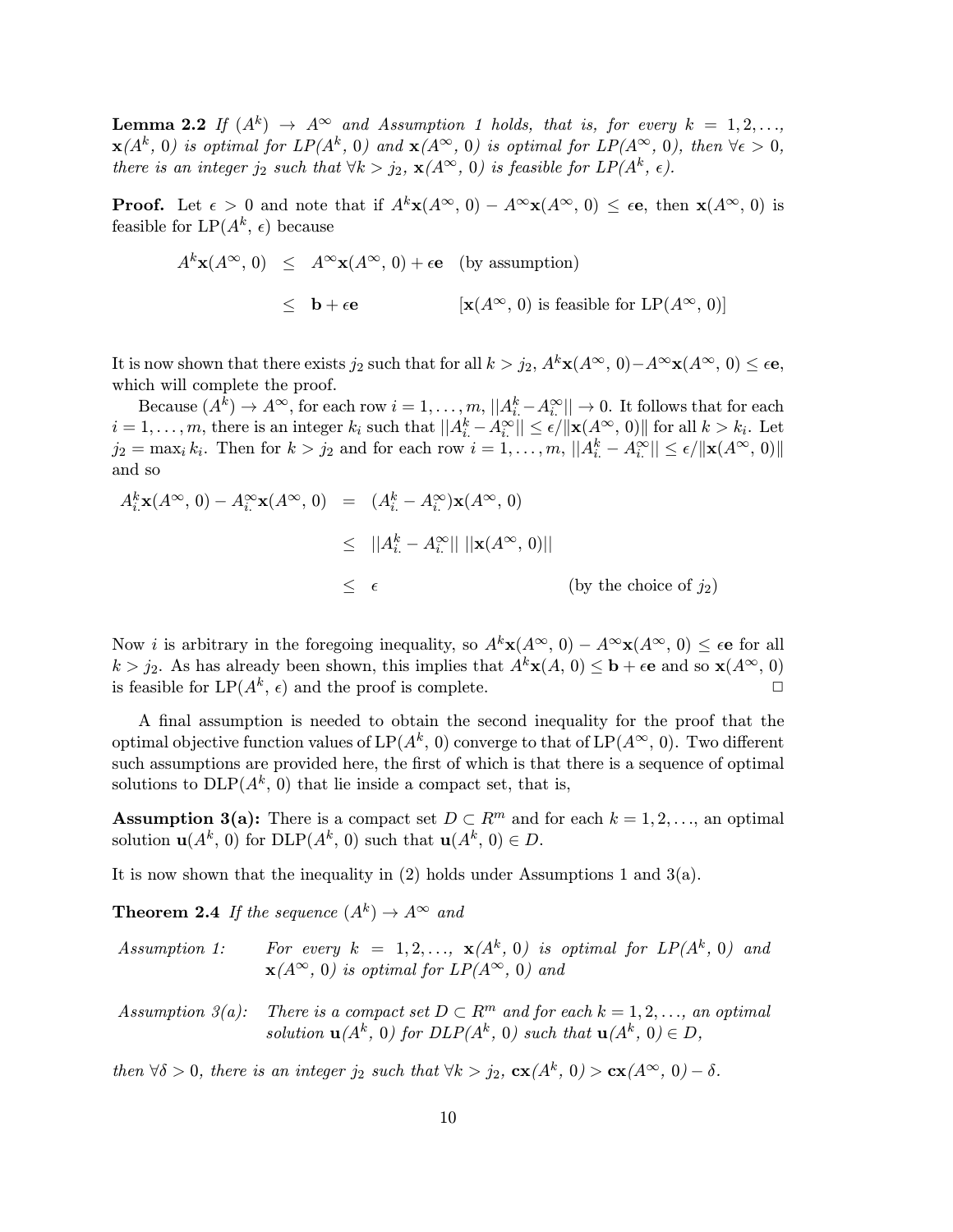**Lemma 2.2** If  $(A^k) \rightarrow A^{\infty}$  and Assumption 1 holds, that is, for every  $k = 1, 2, \ldots$  $\mathbf{x}(A^k, 0)$  is optimal for  $LP(A^k, 0)$  and  $\mathbf{x}(A^{\infty}, 0)$  is optimal for  $LP(A^{\infty}, 0)$ , then  $\forall \epsilon > 0$ , there is an integer j<sub>2</sub> such that  $\forall k > j_2$ ,  $\mathbf{x}(A^{\infty}, 0)$  is feasible for  $LP(A^k, \epsilon)$ .

**Proof.** Let  $\epsilon > 0$  and note that if  $A^k \mathbf{x}(A^{\infty}, 0) - A^{\infty} \mathbf{x}(A^{\infty}, 0) \leq \epsilon \mathbf{e}$ , then  $\mathbf{x}(A^{\infty}, 0)$  is feasible for  $LP(A^k, \epsilon)$  because

$$
A^k \mathbf{x}(A^{\infty}, 0) \leq A^{\infty} \mathbf{x}(A^{\infty}, 0) + \epsilon \mathbf{e}
$$
 (by assumption)  
 $\leq \mathbf{b} + \epsilon \mathbf{e}$  [ $\mathbf{x}(A^{\infty}, 0)$  is feasible for LP $(A^{\infty}, 0)$ ]

It is now shown that there exists  $j_2$  such that for all  $k>j_2$ ,  $A^k\mathbf{x}(A^{\infty}, 0)-A^{\infty}\mathbf{x}(A^{\infty}, 0) \leq \epsilon \mathbf{e}$ , which will complete the proof.

Because  $(A^k) \to A^{\infty}$ , for each row  $i = 1, \ldots, m$ ,  $||A_i^k - A_i^{\infty}|| \to 0$ . It follows that for each  $i = 1, \ldots, m$ , there is an integer  $k_i$  such that  $||A_i^k - A_i^{\infty}|| \leq \epsilon / ||\mathbf{x}(A^{\infty}, 0)||$  for all  $k > k_i$ . Let  $j_2 = \max_i k_i$ . Then for  $k > j_2$  and for each row  $i = 1, \ldots, m$ ,  $||A_i^k - A_i^{\infty}|| \leq \epsilon / ||\mathbf{x}(A^{\infty}, 0)||$ and so

$$
A_i^k \mathbf{x}(A^\infty, 0) - A_i^\infty \mathbf{x}(A^\infty, 0) = (A_i^k - A_i^\infty) \mathbf{x}(A^\infty, 0)
$$
  
\n
$$
\leq ||A_i^k - A_i^\infty|| \, ||\mathbf{x}(A^\infty, 0)||
$$
  
\n
$$
\leq \epsilon
$$
 (by the choice of  $j_2$ )

Now *i* is arbitrary in the foregoing inequality, so  $A^k \mathbf{x}(A^{\infty}, 0) - A^{\infty} \mathbf{x}(A^{\infty}, 0) \leq \epsilon \mathbf{e}$  for all  $k > j_2$ . As has already been shown, this implies that  $A^k \mathbf{x}(A, 0) \leq \mathbf{b} + \epsilon \mathbf{e}$  and so  $\mathbf{x}(A^{\infty}, 0)$  is feasible for  $LP(A^k, \epsilon)$  and the proof is complete. is feasible for  $LP(A^k, \epsilon)$  and the proof is complete.

A final assumption is needed to obtain the second inequality for the proof that the optimal objective function values of  $LP(A^k, 0)$  converge to that of  $LP(A^{\infty}, 0)$ . Two different such assumptions are provided here, the first of which is that there is a sequence of optimal solutions to  $DLP(A^k, 0)$  that lie inside a compact set, that is,

Assumption 3(a): There is a compact set  $D \subset \mathbb{R}^m$  and for each  $k = 1, 2, \ldots$ , an optimal solution  $\mathbf{u}(A^k, 0)$  for  $\text{DLP}(A^k, 0)$  such that  $\mathbf{u}(A^k, 0) \in D$ .

It is now shown that the inequality in  $(2)$  holds under Assumptions 1 and 3(a).

**Theorem 2.4** If the sequence  $(A^k) \rightarrow A^{\infty}$  and

| <i>Assumption 1:</i> | For every $k = 1, 2, , \mathbf{x}(A^k, 0)$ is optimal for $LP(A^k, 0)$ and |
|----------------------|----------------------------------------------------------------------------|
|                      | $\mathbf{x}(A^{\infty}, 0)$ is optimal for $LP(A^{\infty}, 0)$ and         |

Assumption 3(a): There is a compact set  $D \subset \mathbb{R}^m$  and for each  $k = 1, 2, \ldots$ , an optimal solution  $\mathbf{u}(A^k, 0)$  for  $DLP(A^k, 0)$  such that  $\mathbf{u}(A^k, 0) \in D$ ,

then  $\forall \delta > 0$ , there is an integer  $j_2$  such that  $\forall k > j_2$ ,  $c\mathbf{x}(A^k, 0) > c\mathbf{x}(A^{\infty}, 0) - \delta$ .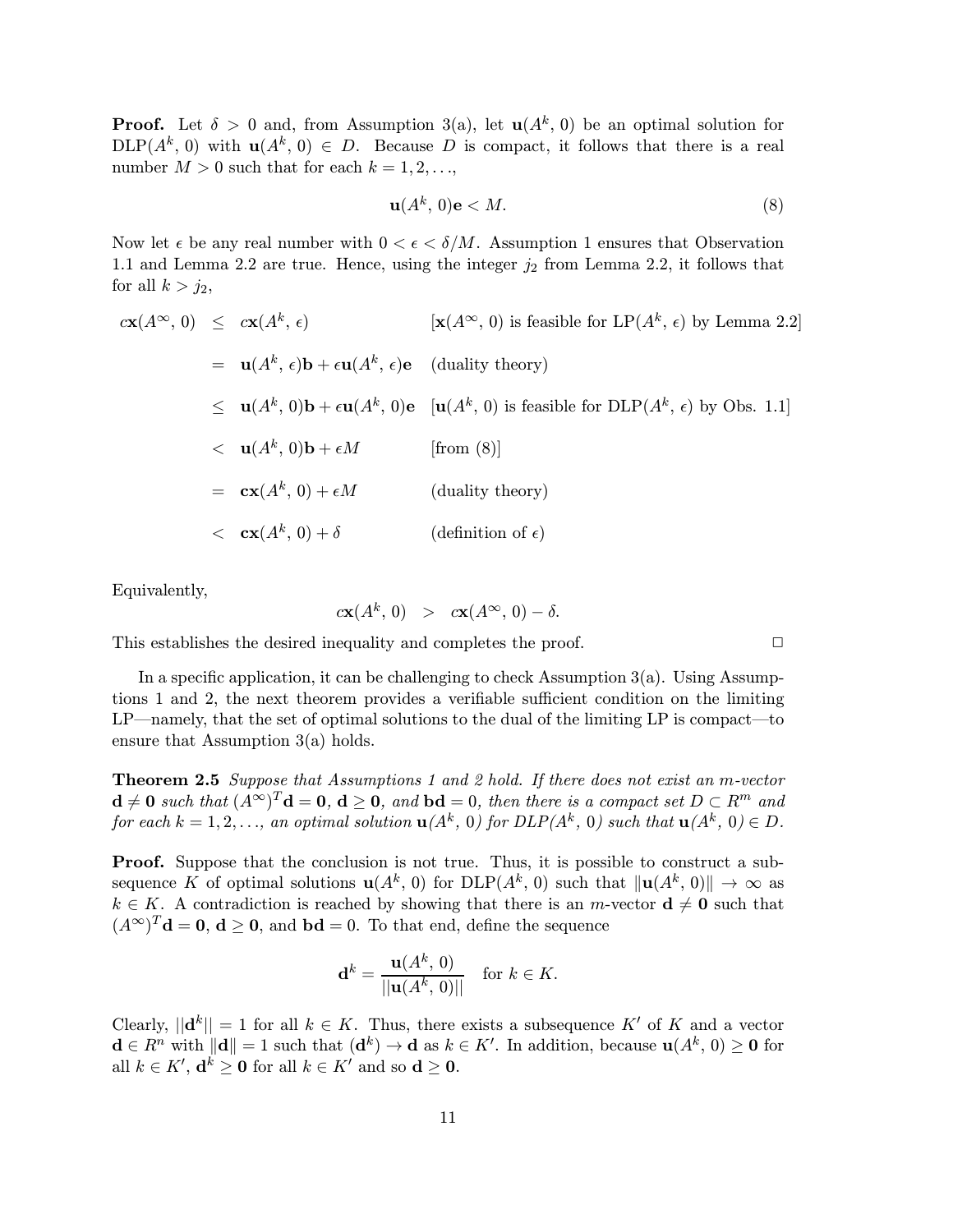**Proof.** Let  $\delta > 0$  and, from Assumption 3(a), let  $u(A^k, 0)$  be an optimal solution for  $DLP(A^k, 0)$  with  $u(A^k, 0) \in D$ . Because D is compact, it follows that there is a real number  $M > 0$  such that for each  $k = 1, 2, \ldots$ ,

$$
\mathbf{u}(A^k, 0)\mathbf{e} < M. \tag{8}
$$

Now let  $\epsilon$  be any real number with  $0 < \epsilon < \delta/M$ . Assumption 1 ensures that Observation 1.1 and Lemma 2.2 are true. Hence, using the integer  $j_2$  from Lemma 2.2, it follows that for all  $k>j_2$ ,

$$
c\mathbf{x}(A^{\infty}, 0) \leq c\mathbf{x}(A^{k}, \epsilon) \qquad [\mathbf{x}(A^{\infty}, 0) \text{ is feasible for LP}(A^{k}, \epsilon) \text{ by Lemma 2.2}]
$$
  
\n
$$
= \mathbf{u}(A^{k}, \epsilon)\mathbf{b} + \epsilon \mathbf{u}(A^{k}, \epsilon)\mathbf{e} \qquad \text{(duality theory)}
$$
  
\n
$$
\leq \mathbf{u}(A^{k}, 0)\mathbf{b} + \epsilon \mathbf{u}(A^{k}, 0)\mathbf{e} \qquad [\mathbf{u}(A^{k}, 0) \text{ is feasible for DLP}(A^{k}, \epsilon) \text{ by Obs. 1.1}]
$$
  
\n
$$
< \mathbf{u}(A^{k}, 0)\mathbf{b} + \epsilon M \qquad \qquad [\text{from (8)}]
$$
  
\n
$$
= \mathbf{c}\mathbf{x}(A^{k}, 0) + \epsilon M \qquad \qquad \text{(duality theory)}
$$
  
\n
$$
< \mathbf{c}\mathbf{x}(A^{k}, 0) + \delta \qquad \qquad \text{(definition of } \epsilon)
$$

Equivalently,

$$
c\mathbf{x}(A^k, 0) > c\mathbf{x}(A^\infty, 0) - \delta.
$$

This establishes the desired inequality and completes the proof.  $\Box$ 

In a specific application, it can be challenging to check Assumption 3(a). Using Assumptions 1 and 2, the next theorem provides a verifiable sufficient condition on the limiting  $LP$ —namely, that the set of optimal solutions to the dual of the limiting LP is compact—to ensure that Assumption 3(a) holds.

Theorem 2.5 Suppose that Assumptions 1 and 2 hold. If there does not exist an m-vector  $\mathbf{d} \neq \mathbf{0}$  such that  $(A^{\infty})^T \mathbf{d} = \mathbf{0}$ ,  $\mathbf{d} \geq \mathbf{0}$ , and  $\mathbf{b} \mathbf{d} = 0$ , then there is a compact set  $D \subset R^m$  and for each  $k = 1, 2, \ldots$ , an optimal solution  $\mathbf{u}(A^k, 0)$  for  $DLP(A^k, 0)$  such that  $\mathbf{u}(A^k, 0) \in D$ .

Proof. Suppose that the conclusion is not true. Thus, it is possible to construct a subsequence K of optimal solutions  $u(A^k, 0)$  for  $DLP(A^k, 0)$  such that  $||u(A^k, 0)|| \to \infty$  as  $k \in K$ . A contradiction is reached by showing that there is an m-vector  $d \neq 0$  such that  $(A^{\infty})^T$ **d** = **0**, **d**  $\geq$  **0**, and **bd** = 0. To that end, define the sequence

$$
\mathbf{d}^k = \frac{\mathbf{u}(A^k, 0)}{\|\mathbf{u}(A^k, 0)\|} \quad \text{for } k \in K.
$$

Clearly,  $||\mathbf{d}^k|| = 1$  for all  $k \in K$ . Thus, there exists a subsequence K' of K and a vector  $\mathbf{d} \in R^n$  with  $\|\mathbf{d}\| = 1$  such that  $(\mathbf{d}^k) \to \mathbf{d}$  as  $k \in K'$ . In addition, because  $\mathbf{u}(A^k, 0) \geq 0$  for all  $k \in K'$ ,  $\mathbf{d}^k \geq \mathbf{0}$  for all  $k \in K'$  and so  $\mathbf{d} \geq \mathbf{0}$ .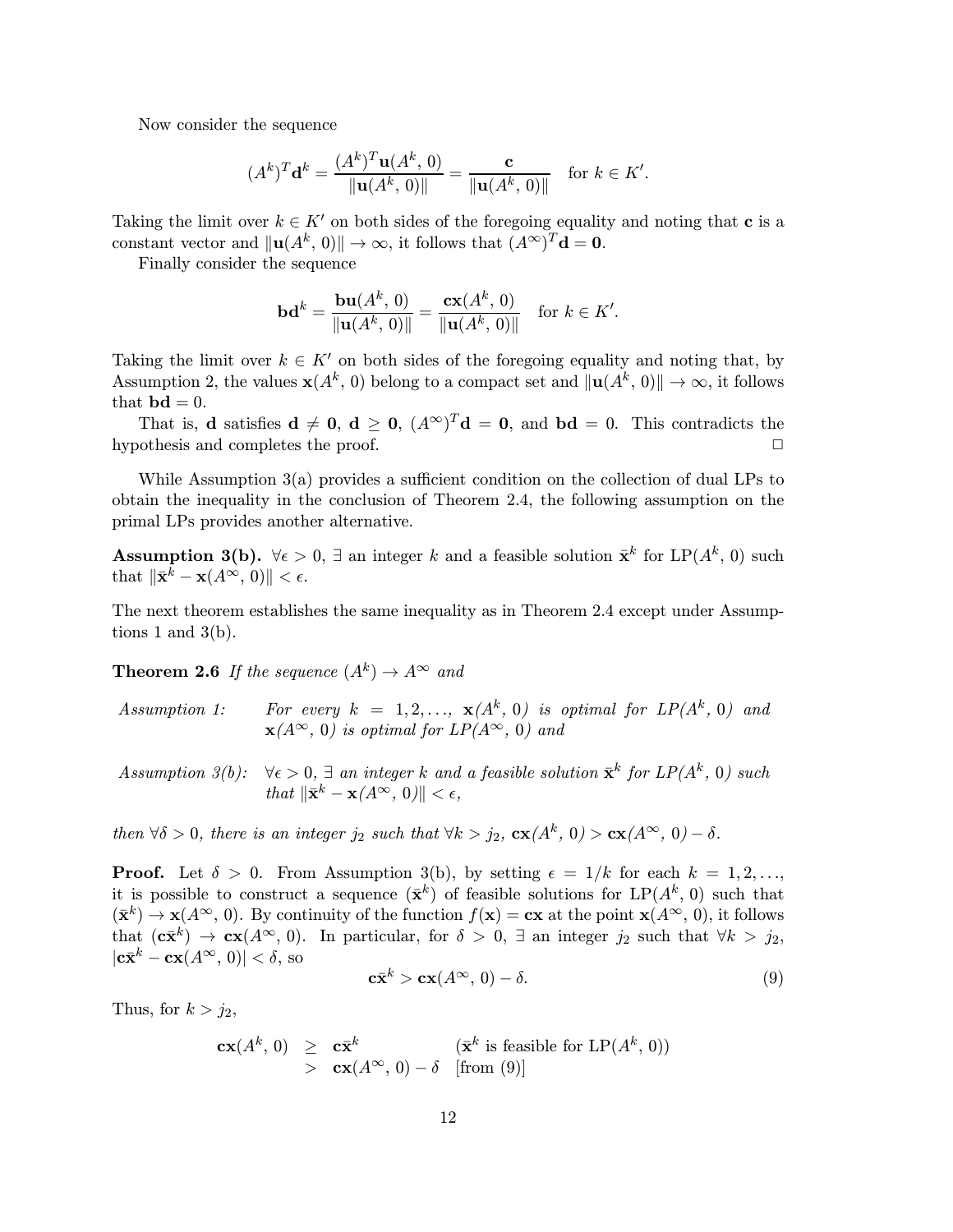Now consider the sequence

$$
(Ak)T \mathbf{d}k = \frac{(Ak)T \mathbf{u}(Ak, 0)}{\|\mathbf{u}(Ak, 0)\|} = \frac{\mathbf{c}}{\|\mathbf{u}(Ak, 0)\|} \text{ for } k \in K'.
$$

Taking the limit over  $k \in K'$  on both sides of the foregoing equality and noting that **c** is a constant vector and  $\|\mathbf{u}(A^k, 0)\| \to \infty$ , it follows that  $(A^{\infty})^T \mathbf{d} = \mathbf{0}$ .

Finally consider the sequence

$$
\mathbf{bd}^k = \frac{\mathbf{bu}(A^k, 0)}{\|\mathbf{u}(A^k, 0)\|} = \frac{\mathbf{cx}(A^k, 0)}{\|\mathbf{u}(A^k, 0)\|} \text{ for } k \in K'.
$$

Taking the limit over  $k \in K'$  on both sides of the foregoing equality and noting that, by Assumption 2, the values  $\mathbf{x}(A^k, 0)$  belong to a compact set and  $\|\mathbf{u}(A^k, 0)\| \to \infty$ , it follows that  $\mathbf{bd} = 0$ .

That is, **d** satisfies  $\mathbf{d} \neq \mathbf{0}$ ,  $\mathbf{d} \geq \mathbf{0}$ ,  $(A^{\infty})^T \mathbf{d} = \mathbf{0}$ , and  $\mathbf{b} \mathbf{d} = 0$ . This contradicts the proof hypothesis and completes the proof. 2

While Assumption 3(a) provides a sufficient condition on the collection of dual LPs to obtain the inequality in the conclusion of Theorem 2.4, the following assumption on the primal LPs provides another alternative.

Assumption 3(b).  $\forall \epsilon > 0$ ,  $\exists$  an integer k and a feasible solution  $\bar{\mathbf{x}}^k$  for LP( $A^k$ , 0) such that  $\|\bar{\mathbf{x}}^k - \mathbf{x}(A^{\infty}, 0)\| < \epsilon$ .

The next theorem establishes the same inequality as in Theorem 2.4 except under Assumptions 1 and  $3(b)$ .

**Theorem 2.6** If the sequence  $(A^k) \rightarrow A^{\infty}$  and

- Assumption 1: For every  $k = 1, 2, ..., \mathbf{x}(A^k, 0)$  is optimal for  $LP(A^k, 0)$  and  $\mathbf{x}(A^{\infty}, 0)$  is optimal for  $LP(A^{\infty}, 0)$  and
- Assumption 3(b):  $\forall \epsilon > 0$ ,  $\exists$  an integer k and a feasible solution  $\bar{\mathbf{x}}^k$  for  $LP(A^k, 0)$  such that  $\|\bar{\mathbf{x}}^k - \mathbf{x}(A^\infty, 0)\| < \epsilon$ ,

then  $\forall \delta > 0$ , there is an integer  $j_2$  such that  $\forall k > j_2$ ,  $c\mathbf{x}(A^k, 0) > c\mathbf{x}(A^{\infty}, 0) - \delta$ .

**Proof.** Let  $\delta > 0$ . From Assumption 3(b), by setting  $\epsilon = 1/k$  for each  $k = 1, 2, \ldots$ it is possible to construct a sequence  $(\bar{\mathbf{x}}^k)$  of feasible solutions for LP( $A^k$ , 0) such that  $(\bar{\mathbf{x}}^k) \to \mathbf{x}(A^\infty, 0)$ . By continuity of the function  $f(\mathbf{x}) = \mathbf{c}\mathbf{x}$  at the point  $\mathbf{x}(A^\infty, 0)$ , it follows that  $(c\bar{x}^k) \to c\bar{x}(A^\infty, 0)$ . In particular, for  $\delta > 0$ ,  $\exists$  an integer  $j_2$  such that  $\forall k > j_2$ ,  $|\mathbf{c}\bar{\mathbf{x}}^k - \mathbf{c}\mathbf{x}(A^\infty, 0)| < \delta$ , so

$$
\mathbf{c}\bar{\mathbf{x}}^k > \mathbf{c}\mathbf{x}(A^\infty, 0) - \delta. \tag{9}
$$

Thus, for  $k > j_2$ ,

$$
\begin{array}{rcl}\n\mathbf{cx}(A^k, 0) & \geq & \mathbf{c}\bar{\mathbf{x}}^k \\
& > & \mathbf{cx}(A^\infty, 0) - \delta \quad \text{[from (9)]} \\
\end{array}
$$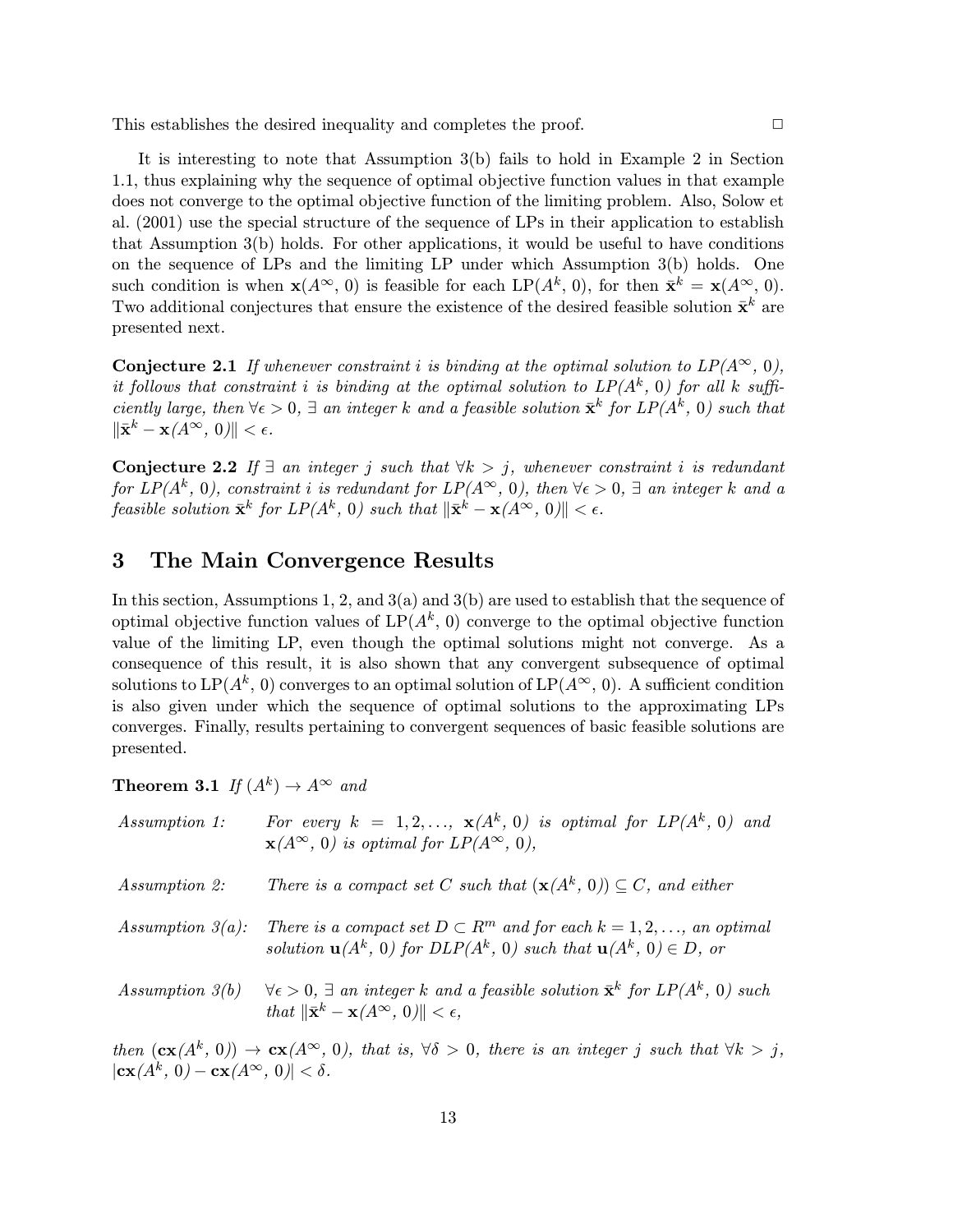This establishes the desired inequality and completes the proof.  $\Box$ 

It is interesting to note that Assumption 3(b) fails to hold in Example 2 in Section 1.1, thus explaining why the sequence of optimal objective function values in that example does not converge to the optimal objective function of the limiting problem. Also, Solow et al. (2001) use the special structure of the sequence of LPs in their application to establish that Assumption 3(b) holds. For other applications, it would be useful to have conditions on the sequence of LPs and the limiting LP under which Assumption 3(b) holds. One such condition is when  $\mathbf{x}(A^{\infty}, 0)$  is feasible for each  $\text{LP}(A^k, 0)$ , for then  $\bar{\mathbf{x}}^k = \mathbf{x}(A^{\infty}, 0)$ . Two additional conjectures that ensure the existence of the desired feasible solution  $\bar{\mathbf{x}}^k$  are presented next.

**Conjecture 2.1** If whenever constraint i is binding at the optimal solution to  $LP(A^{\infty}, 0)$ , it follows that constraint i is binding at the optimal solution to  $LP(A^k, 0)$  for all k sufficiently large, then  $\forall \epsilon > 0$ ,  $\exists$  an integer k and a feasible solution  $\bar{\mathbf{x}}^k$  for  $LP(A^k, 0)$  such that  $\|\bar{\mathbf{x}}^k - \mathbf{x}(A^\infty, 0)\| < \epsilon.$ 

Conjecture 2.2 If  $\exists$  an integer j such that  $\forall k > j$ , whenever constraint i is redundant for  $LP(A^k, 0)$ , constraint i is redundant for  $LP(A^{\infty}, 0)$ , then  $\forall \epsilon > 0$ ,  $\exists$  an integer k and a feasible solution  $\bar{\mathbf{x}}^k$  for  $LP(A^k, 0)$  such that  $\|\bar{\mathbf{x}}^k - \mathbf{x}(A^\infty, 0)\| < \epsilon$ .

## 3 The Main Convergence Results

In this section, Assumptions 1, 2, and  $3(a)$  and  $3(b)$  are used to establish that the sequence of optimal objective function values of  $LP(A^k, 0)$  converge to the optimal objective function value of the limiting LP, even though the optimal solutions might not converge. As a consequence of this result, it is also shown that any convergent subsequence of optimal solutions to LP( $A^k$ , 0) converges to an optimal solution of LP( $A^{\infty}$ , 0). A sufficient condition is also given under which the sequence of optimal solutions to the approximating LPs converges. Finally, results pertaining to convergent sequences of basic feasible solutions are presented.

**Theorem 3.1** If  $(A^k) \rightarrow A^{\infty}$  and

| Assumption 1:                                                  | For every $k = 1, 2, \ldots, x(A^k, 0)$ is optimal for $LP(A^k, 0)$ and<br>$\mathbf{x}(A^{\infty}, 0)$ is optimal for $LP(A^{\infty}, 0)$ ,                                               |
|----------------------------------------------------------------|-------------------------------------------------------------------------------------------------------------------------------------------------------------------------------------------|
| Assumption 2:                                                  | There is a compact set C such that $(\mathbf{x}(A^k, 0)) \subseteq C$ , and either                                                                                                        |
| Assumption $3(a)$ :                                            | There is a compact set $D \subset \mathbb{R}^m$ and for each $k = 1, 2, \ldots$ , an optimal<br>solution $\mathbf{u}(A^k, 0)$ for $DLP(A^k, 0)$ such that $\mathbf{u}(A^k, 0) \in D$ , or |
| Assumption $3(b)$                                              | $\forall \epsilon > 0, \exists$ an integer k and a feasible solution $\bar{\mathbf{x}}^k$ for $LP(A^k, 0)$ such<br>that $\ \bar{\mathbf{x}}^k - \mathbf{x}(A^\infty, 0)\  < \epsilon$ ,   |
| $ \mathbf{cx}(A^k, 0) - \mathbf{cx}(A^{\infty}, 0)  < \delta.$ | then $(c\mathbf{x}(A^k, 0)) \to c\mathbf{x}(A^{\infty}, 0)$ , that is, $\forall \delta > 0$ , there is an integer j such that $\forall k > j$ ,                                           |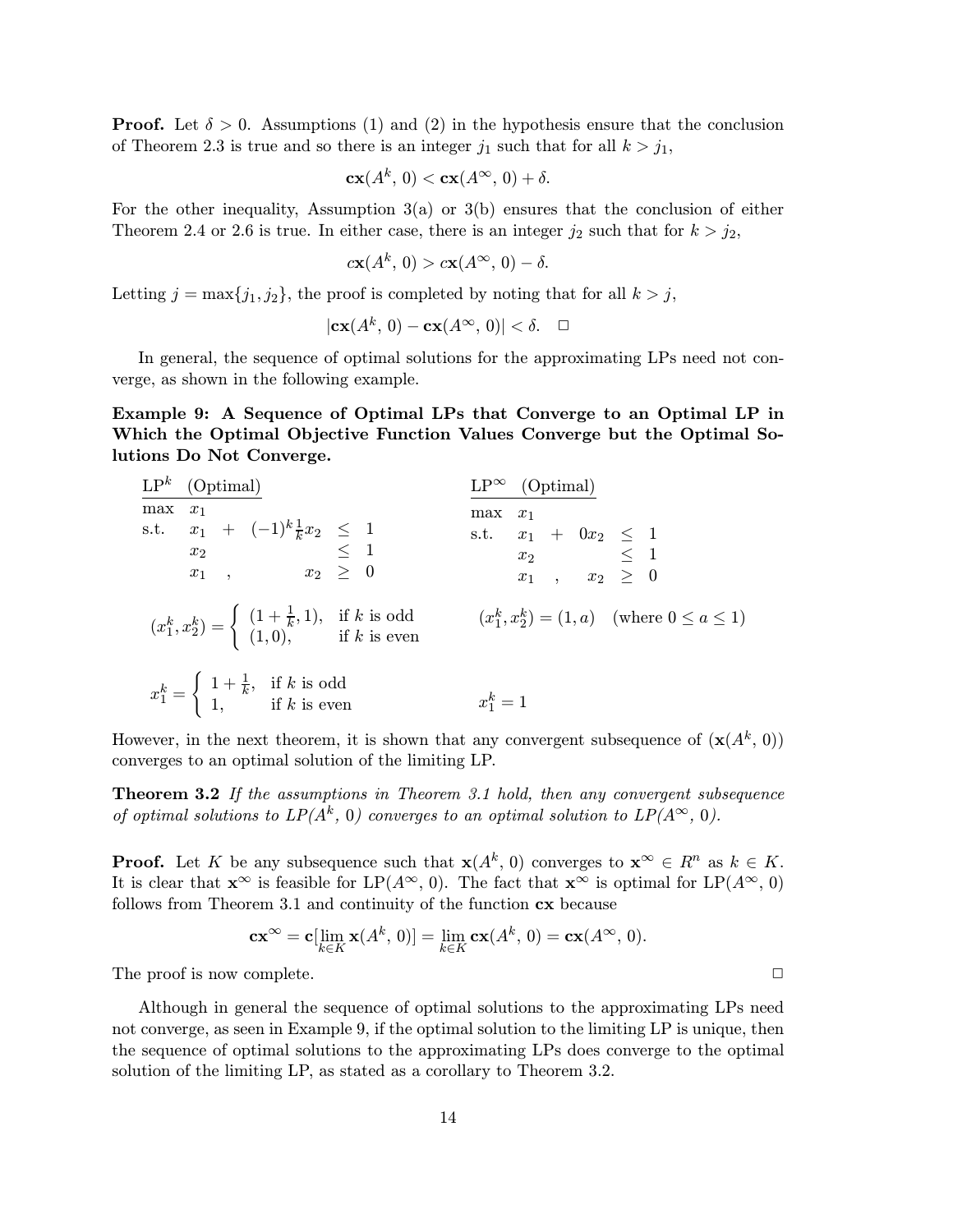**Proof.** Let  $\delta > 0$ . Assumptions (1) and (2) in the hypothesis ensure that the conclusion of Theorem 2.3 is true and so there is an integer  $j_1$  such that for all  $k > j_1$ ,

$$
\mathbf{cx}(A^k, 0) < \mathbf{cx}(A^\infty, 0) + \delta.
$$

For the other inequality, Assumption  $3(a)$  or  $3(b)$  ensures that the conclusion of either Theorem 2.4 or 2.6 is true. In either case, there is an integer  $j_2$  such that for  $k > j_2$ ,

$$
c\mathbf{x}(A^k, 0) > c\mathbf{x}(A^\infty, 0) - \delta.
$$

Letting  $j = \max\{j_1, j_2\}$ , the proof is completed by noting that for all  $k > j$ ,

$$
\mathbf{cx}(A^k, 0) - \mathbf{cx}(A^\infty, 0)| < \delta. \quad \Box
$$

In general, the sequence of optimal solutions for the approximating LPs need not converge, as shown in the following example.

Example 9: A Sequence of Optimal LPs that Converge to an Optimal LP in Which the Optimal Objective Function Values Converge but the Optimal Solutions Do Not Converge.

| $\mathbf{LP}^k$ (Optimal)                                                                                                                                                                                                           | $LP^{\infty}$ (Optimal)                                                                                                       |
|-------------------------------------------------------------------------------------------------------------------------------------------------------------------------------------------------------------------------------------|-------------------------------------------------------------------------------------------------------------------------------|
| $max x_1$<br>s.t. $x_1 + (-1)^k \frac{1}{k} x_2 \le 1$<br>$x_2 \le x_1$ , $x_2 \ge 0$<br>$(x_1^k, x_2^k) = \begin{cases} (1 + \frac{1}{k}, 1), & \text{if } k \text{ is odd} \\ (1, 0), & \text{if } k \text{ is even} \end{cases}$ | $max x_1$<br>s.t. $x_1 + 0x_2 \le 1$<br>$x_2 \le 1$<br>$x_1, x_2 \ge 0$<br>$(x_1^k, x_2^k) = (1, a)$ (where $0 \le a \le 1$ ) |
| $x_1^k = \begin{cases} 1 + \frac{1}{k}, & \text{if } k \text{ is odd} \\ 1, & \text{if } k \text{ is even} \end{cases}$                                                                                                             | $x_1^k = 1$                                                                                                                   |

However, in the next theorem, it is shown that any convergent subsequence of  $(\mathbf{x}(A^k, 0))$ converges to an optimal solution of the limiting LP.

Theorem 3.2 If the assumptions in Theorem 3.1 hold, then any convergent subsequence of optimal solutions to  $LP(A^k, 0)$  converges to an optimal solution to  $LP(A^{\infty}, 0)$ .

**Proof.** Let K be any subsequence such that  $\mathbf{x}(A^k, 0)$  converges to  $\mathbf{x}^{\infty} \in R^n$  as  $k \in K$ . It is clear that  $\mathbf{x}^{\infty}$  is feasible for LP( $A^{\infty}$ , 0). The fact that  $\mathbf{x}^{\infty}$  is optimal for LP( $A^{\infty}$ , 0) follows from Theorem 3.1 and continuity of the function cx because

$$
\mathbf{cx}^{\infty} = \mathbf{c}[\lim_{k \in K} \mathbf{x}(A^k, 0)] = \lim_{k \in K} \mathbf{cx}(A^k, 0) = \mathbf{cx}(A^{\infty}, 0).
$$

The proof is now complete.  $\Box$ 

Although in general the sequence of optimal solutions to the approximating LPs need not converge, as seen in Example 9, if the optimal solution to the limiting LP is unique, then the sequence of optimal solutions to the approximating LPs does converge to the optimal solution of the limiting LP, as stated as a corollary to Theorem 3.2.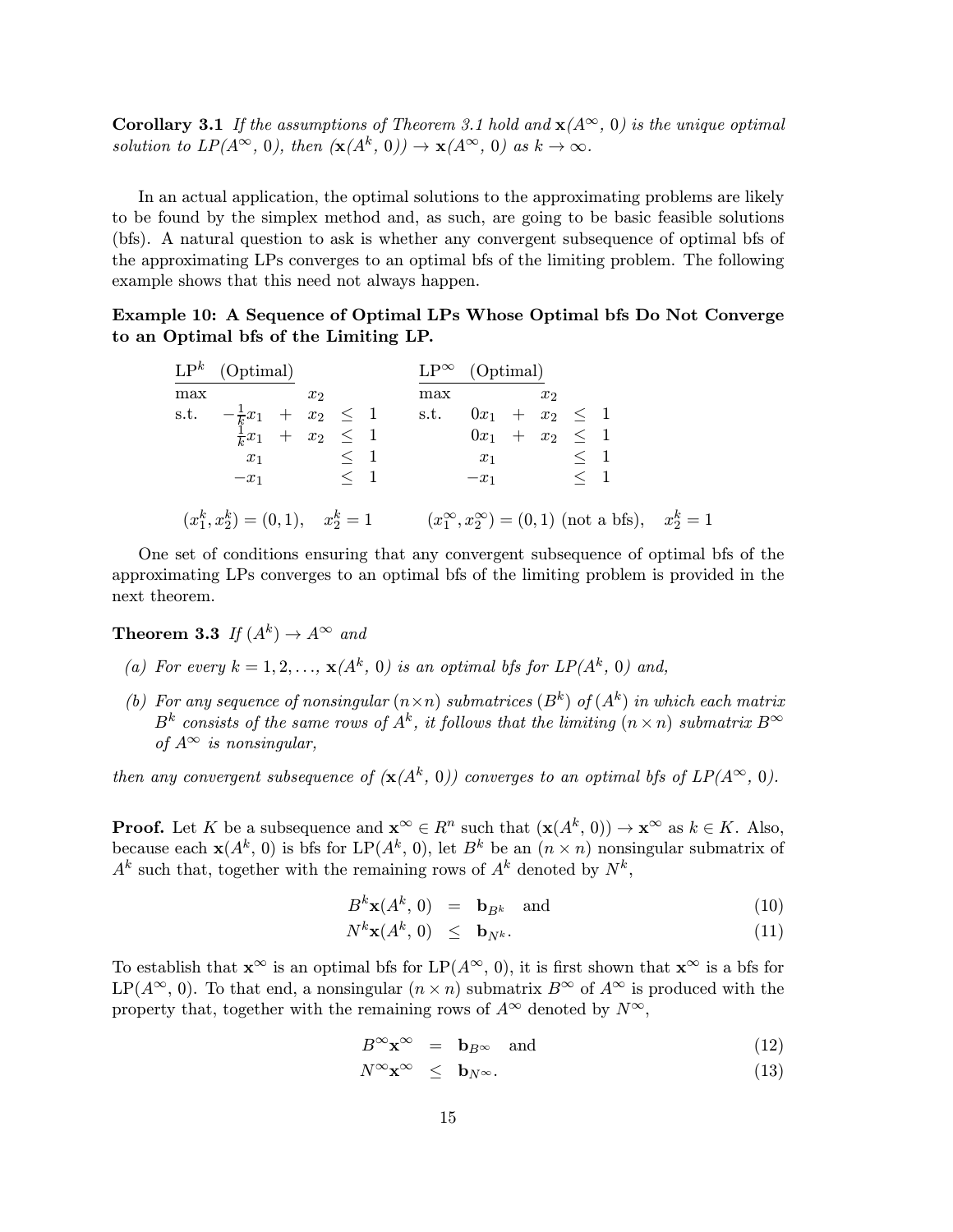**Corollary 3.1** If the assumptions of Theorem 3.1 hold and  $\mathbf{x}(A^{\infty}, 0)$  is the unique optimal solution to  $LP(A^{\infty}, 0)$ , then  $(\mathbf{x}(A^k, 0)) \to \mathbf{x}(A^{\infty}, 0)$  as  $k \to \infty$ .

In an actual application, the optimal solutions to the approximating problems are likely to be found by the simplex method and, as such, are going to be basic feasible solutions (bfs). A natural question to ask is whether any convergent subsequence of optimal bfs of the approximating LPs converges to an optimal bfs of the limiting problem. The following example shows that this need not always happen.

Example 10: A Sequence of Optimal LPs Whose Optimal bfs Do Not Converge to an Optimal bfs of the Limiting LP.

|     | $\mathbf{LP}^k$ (Optimal)                                          |                                |     | $LP^{\infty}$ (Optimal)                                        |       |  |  |
|-----|--------------------------------------------------------------------|--------------------------------|-----|----------------------------------------------------------------|-------|--|--|
| max |                                                                    | $x_2$                          | max |                                                                | $x_2$ |  |  |
|     | s.t. $-\frac{1}{k}x_1 + x_2 \le 1$<br>$\frac{1}{k}x_1 + x_2 \le 1$ |                                |     | s.t. $0x_1 + x_2 \leq 1$                                       |       |  |  |
|     |                                                                    |                                |     | $0x_1$ + $x_2$ $\leq$ 1                                        |       |  |  |
|     |                                                                    | $x_1 \qquad \qquad \leq \ \ 1$ |     | $x_1 \qquad \qquad \leq \ \ 1$                                 |       |  |  |
|     |                                                                    | $-x_1$ < 1                     |     | $-x_1$ < 1                                                     |       |  |  |
|     | $(x_1^k, x_2^k) = (0, 1), \quad x_2^k = 1$                         |                                |     | $(x_1^{\infty}, x_2^{\infty}) = (0, 1)$ (not a bfs), $x_2^k =$ |       |  |  |

One set of conditions ensuring that any convergent subsequence of optimal bfs of the approximating LPs converges to an optimal bfs of the limiting problem is provided in the next theorem.

**Theorem 3.3** If  $(A^k) \rightarrow A^{\infty}$  and

- (a) For every  $k = 1, 2, ..., \mathbf{x}(A^k, 0)$  is an optimal bfs for  $LP(A^k, 0)$  and,
- (b) For any sequence of nonsingular  $(n \times n)$  submatrices  $(B^k)$  of  $(A^k)$  in which each matrix  $B^k$  consists of the same rows of  $A^k$ , it follows that the limiting  $(n \times n)$  submatrix  $B^{\infty}$ of  $A^{\infty}$  is nonsingular,

then any convergent subsequence of  $(\mathbf{x}(A^k, 0))$  converges to an optimal bfs of  $LP(A^{\infty}, 0)$ .

**Proof.** Let K be a subsequence and  $\mathbf{x}^{\infty} \in R^n$  such that  $(\mathbf{x}(A^k, 0)) \to \mathbf{x}^{\infty}$  as  $k \in K$ . Also, because each  $\mathbf{x}(A^k, 0)$  is bfs for LP( $A^k$ , 0), let  $B^k$  be an  $(n \times n)$  nonsingular submatrix of  $A^k$  such that, together with the remaining rows of  $A^k$  denoted by  $N^k$ ,

$$
B^k \mathbf{x}(A^k, 0) = \mathbf{b}_{B^k} \quad \text{and} \tag{10}
$$

 $\mathbf 1$ 

$$
N^k \mathbf{x}(A^k, 0) \leq \mathbf{b}_{N^k}.\tag{11}
$$

To establish that  $\mathbf{x}^{\infty}$  is an optimal bfs for LP( $A^{\infty}$ , 0), it is first shown that  $\mathbf{x}^{\infty}$  is a bfs for LP( $A^{\infty}$ , 0). To that end, a nonsingular  $(n \times n)$  submatrix  $B^{\infty}$  of  $A^{\infty}$  is produced with the property that, together with the remaining rows of  $A^{\infty}$  denoted by  $N^{\infty}$ ,

$$
B^{\infty} \mathbf{x}^{\infty} = \mathbf{b}_{B^{\infty}} \quad \text{and} \tag{12}
$$

$$
N^{\infty} \mathbf{x}^{\infty} \leq \mathbf{b}_{N^{\infty}}.\tag{13}
$$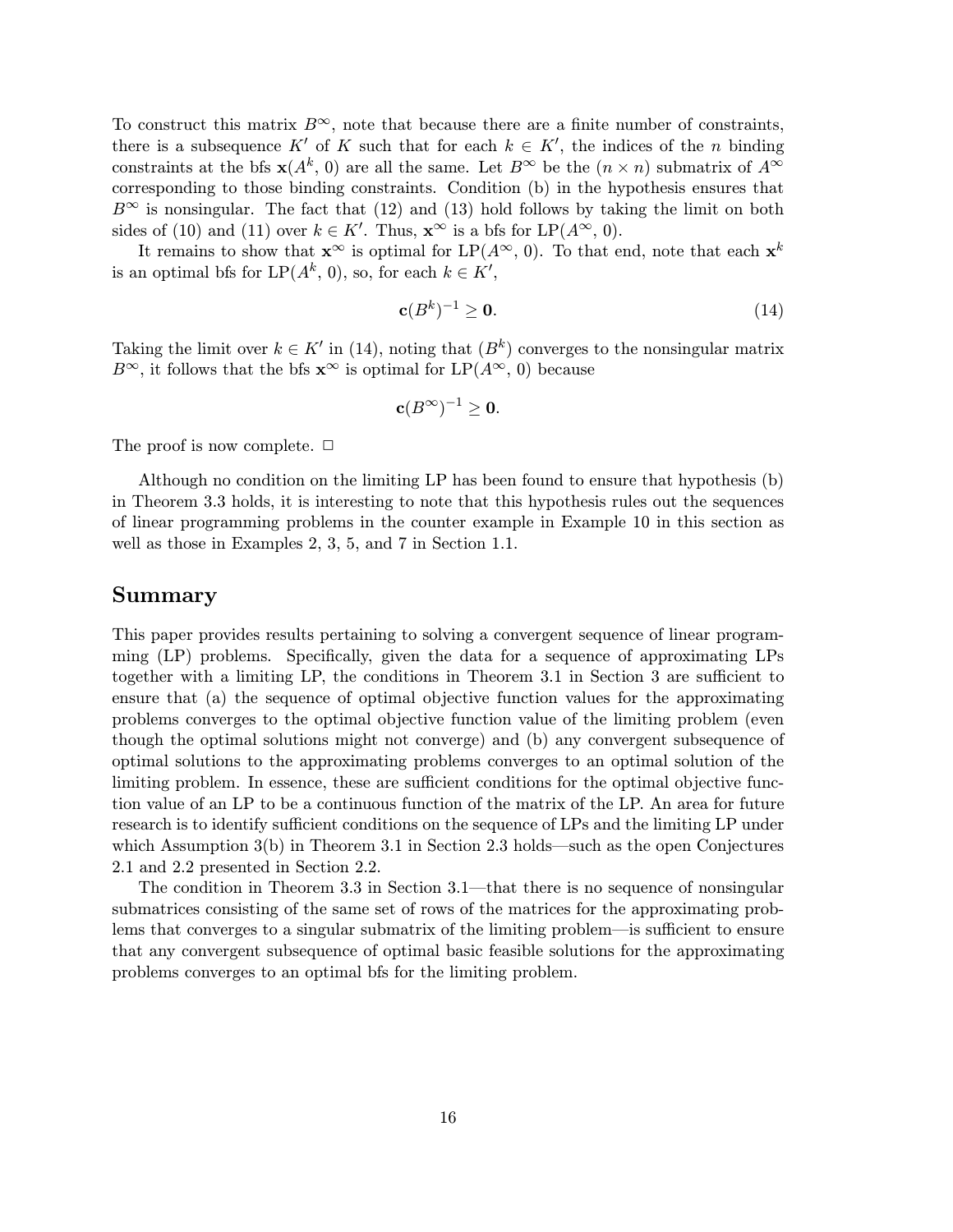To construct this matrix  $B^{\infty}$ , note that because there are a finite number of constraints, there is a subsequence  $K'$  of K such that for each  $k \in K'$ , the indices of the n binding constraints at the bfs  $\mathbf{x}(A^k, 0)$  are all the same. Let  $B^{\infty}$  be the  $(n \times n)$  submatrix of  $A^{\infty}$ corresponding to those binding constraints. Condition (b) in the hypothesis ensures that  $B^{\infty}$  is nonsingular. The fact that (12) and (13) hold follows by taking the limit on both sides of (10) and (11) over  $k \in K'$ . Thus,  $\mathbf{x}^{\infty}$  is a bfs for  $\text{LP}(A^{\infty}, 0)$ .

It remains to show that  $\mathbf{x}^{\infty}$  is optimal for  $LP(A^{\infty}, 0)$ . To that end, note that each  $\mathbf{x}^{k}$ is an optimal bfs for  $\text{LP}(A^k, 0)$ , so, for each  $k \in K'$ ,

$$
\mathbf{c}(B^k)^{-1} \ge \mathbf{0}.\tag{14}
$$

Taking the limit over  $k \in K'$  in (14), noting that  $(B<sup>k</sup>)$  converges to the nonsingular matrix  $B^{\infty}$ , it follows that the bfs  $\mathbf{x}^{\infty}$  is optimal for  $\text{LP}(A^{\infty}, 0)$  because

$$
\mathbf{c}(B^{\infty})^{-1}\geq 0.
$$

The proof is now complete.  $\Box$ 

Although no condition on the limiting LP has been found to ensure that hypothesis (b) in Theorem 3.3 holds, it is interesting to note that this hypothesis rules out the sequences of linear programming problems in the counter example in Example 10 in this section as well as those in Examples 2, 3, 5, and 7 in Section 1.1.

#### Summary

This paper provides results pertaining to solving a convergent sequence of linear programming (LP) problems. Specifically, given the data for a sequence of approximating LPs together with a limiting LP, the conditions in Theorem 3.1 in Section 3 are sufficient to ensure that (a) the sequence of optimal objective function values for the approximating problems converges to the optimal objective function value of the limiting problem (even though the optimal solutions might not converge) and (b) any convergent subsequence of optimal solutions to the approximating problems converges to an optimal solution of the limiting problem. In essence, these are sufficient conditions for the optimal objective function value of an LP to be a continuous function of the matrix of the LP. An area for future research is to identify sufficient conditions on the sequence of LPs and the limiting LP under which Assumption  $3(b)$  in Theorem 3.1 in Section 2.3 holds—such as the open Conjectures 2.1 and 2.2 presented in Section 2.2.

The condition in Theorem 3.3 in Section  $3.1$ —that there is no sequence of nonsingular submatrices consisting of the same set of rows of the matrices for the approximating problems that converges to a singular submatrix of the limiting problem—is sufficient to ensure that any convergent subsequence of optimal basic feasible solutions for the approximating problems converges to an optimal bfs for the limiting problem.